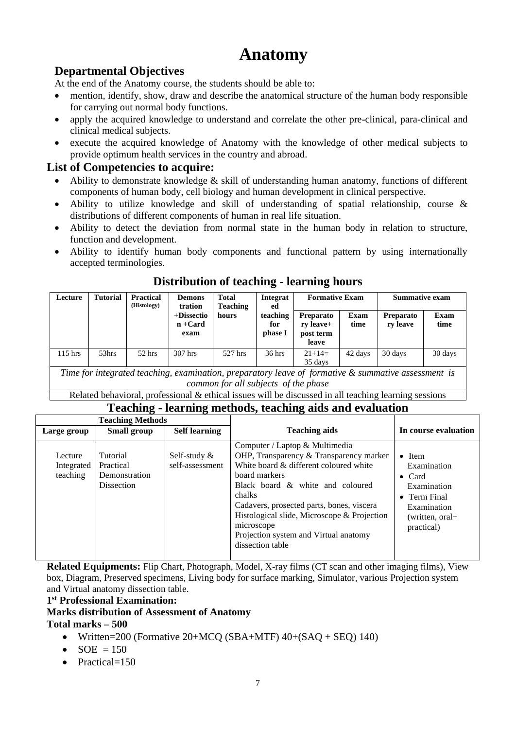# **Anatomy**

# **Departmental Objectives**

At the end of the Anatomy course, the students should be able to:

- mention, identify, show, draw and describe the anatomical structure of the human body responsible for carrying out normal body functions.
- apply the acquired knowledge to understand and correlate the other pre-clinical, para-clinical and clinical medical subjects.
- execute the acquired knowledge of Anatomy with the knowledge of other medical subjects to provide optimum health services in the country and abroad.

### **List of Competencies to acquire:**

- Ability to demonstrate knowledge  $\&$  skill of understanding human anatomy, functions of different components of human body, cell biology and human development in clinical perspective.
- Ability to utilize knowledge and skill of understanding of spatial relationship, course & distributions of different components of human in real life situation.
- Ability to detect the deviation from normal state in the human body in relation to structure, function and development.
- Ability to identify human body components and functional pattern by using internationally accepted terminologies.

#### **Lecture Tutorial Practical (Histology) Demons tration +Dissectio n +Card exam Total Teaching hours Integrat ed teaching for phase I Formative Exam Summative exam Preparato ry leave+ post term leave Exam time Preparato ry leave Exam time**  115 hrs  $\begin{array}{|c|c|c|c|c|c|c|c|} \hline 53hrs & 52 hrs & 307 hrs & 527 hrs & 36 hrs & 21+14=1 \hline \end{array}$ 35 days 42 days 30 days 30 days *Time for integrated teaching, examination, preparatory leave of formative & summative assessment is*

# **Distribution of teaching - learning hours**

*common for all subjects of the phase* 

Related behavioral, professional & ethical issues will be discussed in all teaching learning sessions

# **Teaching - learning methods, teaching aids and evaluation**

| <b>Teaching Methods</b>           |                                                      |                                    |                                                                                                                                                                                                                                                                                                                                                           |                                                                                                                                |
|-----------------------------------|------------------------------------------------------|------------------------------------|-----------------------------------------------------------------------------------------------------------------------------------------------------------------------------------------------------------------------------------------------------------------------------------------------------------------------------------------------------------|--------------------------------------------------------------------------------------------------------------------------------|
| Large group                       | <b>Small group</b>                                   | <b>Self learning</b>               | <b>Teaching aids</b>                                                                                                                                                                                                                                                                                                                                      | In course evaluation                                                                                                           |
| Lecture<br>Integrated<br>teaching | Tutorial<br>Practical<br>Demonstration<br>Dissection | Self-study $\&$<br>self-assessment | Computer / Laptop & Multimedia<br>OHP, Transparency & Transparency marker<br>White board & different coloured white<br>board markers<br>Black board & white and coloured<br>chalks<br>Cadavers, prosected parts, bones, viscera<br>Histological slide, Microscope & Projection<br>microscope<br>Projection system and Virtual anatomy<br>dissection table | $\bullet$ Item<br>Examination<br>$\bullet$ Card<br>Examination<br>• Term Final<br>Examination<br>(written, oral+<br>practical) |

**Related Equipments:** Flip Chart, Photograph, Model, X-ray films (CT scan and other imaging films), View box, Diagram, Preserved specimens, Living body for surface marking, Simulator, various Projection system and Virtual anatomy dissection table.

#### **1 st Professional Examination:**

### **Marks distribution of Assessment of Anatomy**

**Total marks – 500** 

- Written=200 (Formative 20+MCQ (SBA+MTF)  $40+(SAQ + SEQ)$  140)
- $SOE = 150$
- Practical=150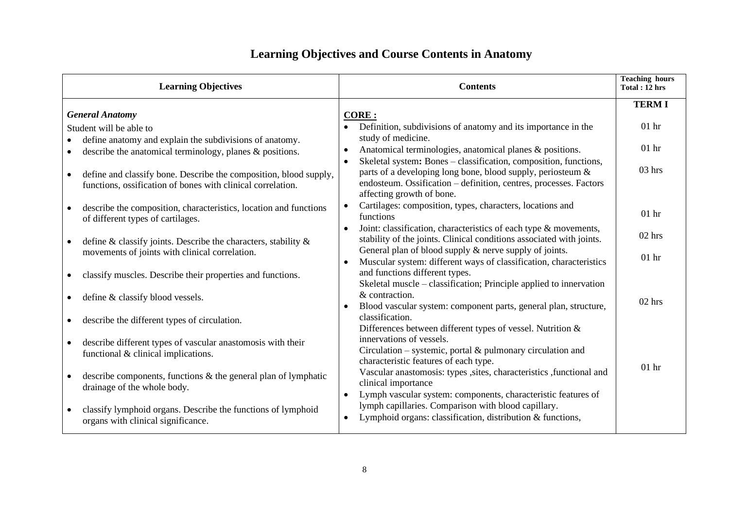| <b>Learning Objectives</b>                                                                             | <b>Contents</b>                                                                                                                                                            | <b>Teaching hours</b><br>Total: 12 hrs |
|--------------------------------------------------------------------------------------------------------|----------------------------------------------------------------------------------------------------------------------------------------------------------------------------|----------------------------------------|
|                                                                                                        |                                                                                                                                                                            | <b>TERMI</b>                           |
| <b>General Anatomy</b>                                                                                 | <b>CORE:</b>                                                                                                                                                               |                                        |
| Student will be able to                                                                                | Definition, subdivisions of anatomy and its importance in the                                                                                                              | 01 <sub>hr</sub>                       |
| define anatomy and explain the subdivisions of anatomy.                                                | study of medicine.                                                                                                                                                         |                                        |
| describe the anatomical terminology, planes $\&$ positions.                                            | Anatomical terminologies, anatomical planes & positions.<br>$\bullet$                                                                                                      | $01$ hr                                |
| define and classify bone. Describe the composition, blood supply,<br>$\bullet$                         | Skeletal system: Bones - classification, composition, functions,<br>parts of a developing long bone, blood supply, periosteum &                                            | $03$ hrs                               |
| functions, ossification of bones with clinical correlation.                                            | endosteum. Ossification - definition, centres, processes. Factors<br>affecting growth of bone.                                                                             |                                        |
| describe the composition, characteristics, location and functions<br>of different types of cartilages. | Cartilages: composition, types, characters, locations and<br>functions                                                                                                     | 01 <sub>hr</sub>                       |
| define $\&$ classify joints. Describe the characters, stability $\&$                                   | Joint: classification, characteristics of each type & movements,<br>stability of the joints. Clinical conditions associated with joints.                                   | $02$ hrs                               |
| movements of joints with clinical correlation.                                                         | General plan of blood supply & nerve supply of joints.<br>Muscular system: different ways of classification, characteristics                                               | $01$ hr                                |
| classify muscles. Describe their properties and functions.                                             | and functions different types.<br>Skeletal muscle - classification; Principle applied to innervation                                                                       |                                        |
| define & classify blood vessels.                                                                       | & contraction.<br>Blood vascular system: component parts, general plan, structure,                                                                                         | $02$ hrs                               |
| describe the different types of circulation.                                                           | classification.<br>Differences between different types of vessel. Nutrition &                                                                                              |                                        |
| describe different types of vascular anastomosis with their<br>functional & clinical implications.     | innervations of vessels.<br>Circulation – systemic, portal $\&$ pulmonary circulation and<br>characteristic features of each type.                                         |                                        |
| describe components, functions $\&$ the general plan of lymphatic<br>drainage of the whole body.       | Vascular anastomosis: types , sites, characteristics , functional and<br>clinical importance<br>Lymph vascular system: components, characteristic features of<br>$\bullet$ | 01 <sub>hr</sub>                       |
| classify lymphoid organs. Describe the functions of lymphoid<br>organs with clinical significance.     | lymph capillaries. Comparison with blood capillary.<br>Lymphoid organs: classification, distribution & functions,                                                          |                                        |

# **Learning Objectives and Course Contents in Anatomy**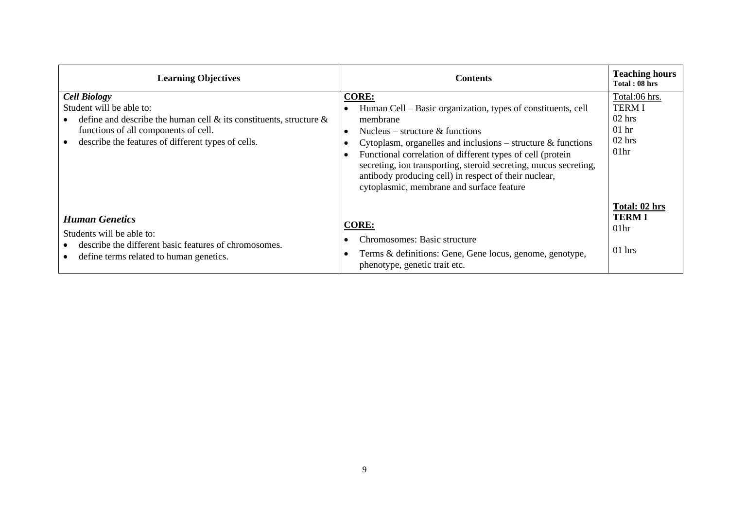| <b>Learning Objectives</b>                                                                                                                                                                                                | <b>Contents</b>                                                                                                                                                                                                                                                                                                                                                                                                                                                          | <b>Teaching hours</b><br>Total: 08 hrs                                               |
|---------------------------------------------------------------------------------------------------------------------------------------------------------------------------------------------------------------------------|--------------------------------------------------------------------------------------------------------------------------------------------------------------------------------------------------------------------------------------------------------------------------------------------------------------------------------------------------------------------------------------------------------------------------------------------------------------------------|--------------------------------------------------------------------------------------|
| <b>Cell Biology</b><br>Student will be able to:<br>define and describe the human cell $\&$ its constituents, structure $\&$<br>functions of all components of cell.<br>describe the features of different types of cells. | <b>CORE:</b><br>Human Cell – Basic organization, types of constituents, cell<br>membrane<br>Nucleus – structure $\&$ functions<br>$\bullet$<br>Cytoplasm, organelles and inclusions – structure $\&$ functions<br>٠<br>Functional correlation of different types of cell (protein<br>$\bullet$<br>secreting, ion transporting, steroid secreting, mucus secreting,<br>antibody producing cell) in respect of their nuclear,<br>cytoplasmic, membrane and surface feature | Total:06 hrs.<br><b>TERMI</b><br>$02$ hrs<br>$01$ hr<br>$02$ hrs<br>01 <sub>hr</sub> |
| <b>Human Genetics</b><br>Students will be able to:<br>describe the different basic features of chromosomes.<br>define terms related to human genetics.                                                                    | <b>CORE:</b><br>Chromosomes: Basic structure<br>Terms & definitions: Gene, Gene locus, genome, genotype,<br>$\bullet$<br>phenotype, genetic trait etc.                                                                                                                                                                                                                                                                                                                   | Total: 02 hrs<br><b>TERMI</b><br>01 <sub>hr</sub><br>$01$ hrs                        |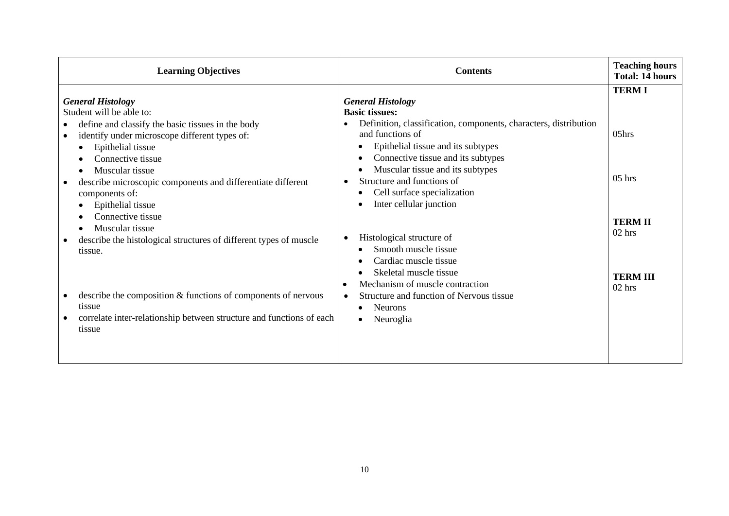| <b>Learning Objectives</b>                                                                                                                                                                                                                                                                                          | <b>Contents</b>                                                                                                                                                                                                                                                                                                                                  | <b>Teaching hours</b><br><b>Total: 14 hours</b>           |
|---------------------------------------------------------------------------------------------------------------------------------------------------------------------------------------------------------------------------------------------------------------------------------------------------------------------|--------------------------------------------------------------------------------------------------------------------------------------------------------------------------------------------------------------------------------------------------------------------------------------------------------------------------------------------------|-----------------------------------------------------------|
| <b>General Histology</b><br>Student will be able to:<br>define and classify the basic tissues in the body<br>identify under microscope different types of:<br>Epithelial tissue<br>Connective tissue<br>Muscular tissue<br>describe microscopic components and differentiate different<br>components of:            | <b>General Histology</b><br><b>Basic tissues:</b><br>Definition, classification, components, characters, distribution<br>$\bullet$<br>and functions of<br>Epithelial tissue and its subtypes<br>Connective tissue and its subtypes<br>Muscular tissue and its subtypes<br>Structure and functions of<br>$\bullet$<br>Cell surface specialization | <b>TERMI</b><br>05hrs<br>$05$ hrs                         |
| Epithelial tissue<br>Connective tissue<br>Muscular tissue<br>describe the histological structures of different types of muscle<br>$\bullet$<br>tissue.<br>describe the composition & functions of components of nervous<br>tissue<br>correlate inter-relationship between structure and functions of each<br>tissue | Inter cellular junction<br>Histological structure of<br>$\bullet$<br>Smooth muscle tissue<br>Cardiac muscle tissue<br>Skeletal muscle tissue<br>Mechanism of muscle contraction<br>$\bullet$<br>Structure and function of Nervous tissue<br>$\bullet$<br><b>Neurons</b><br>Neuroglia                                                             | <b>TERM II</b><br>$02$ hrs<br><b>TERM III</b><br>$02$ hrs |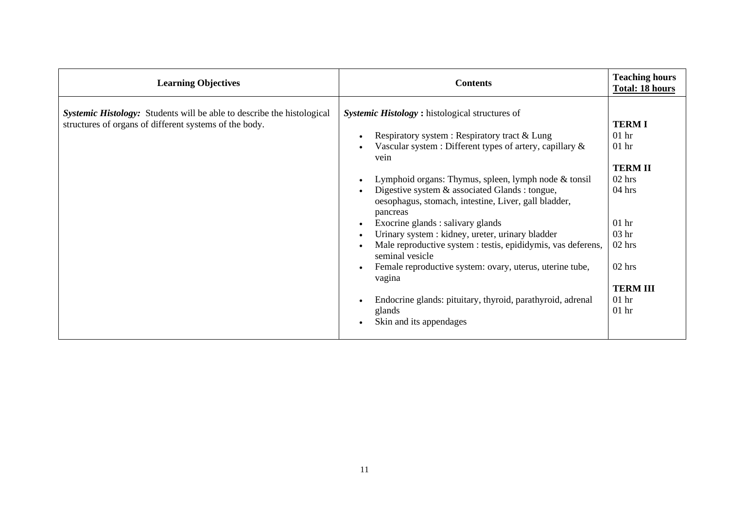| <b>Learning Objectives</b>                                                                                                              | <b>Contents</b>                                                                                                                                                                                                                                                                                                                                                                                                                                                                                                                                                                                                                                                                                             | <b>Teaching hours</b><br><b>Total: 18 hours</b>                                                                                                                                               |
|-----------------------------------------------------------------------------------------------------------------------------------------|-------------------------------------------------------------------------------------------------------------------------------------------------------------------------------------------------------------------------------------------------------------------------------------------------------------------------------------------------------------------------------------------------------------------------------------------------------------------------------------------------------------------------------------------------------------------------------------------------------------------------------------------------------------------------------------------------------------|-----------------------------------------------------------------------------------------------------------------------------------------------------------------------------------------------|
| <b>Systemic Histology:</b> Students will be able to describe the histological<br>structures of organs of different systems of the body. | Systemic Histology: histological structures of<br>Respiratory system : Respiratory tract & Lung<br>Vascular system : Different types of artery, capillary $\&$<br>vein<br>Lymphoid organs: Thymus, spleen, lymph node $&$ tonsil<br>Digestive system & associated Glands : tongue,<br>oesophagus, stomach, intestine, Liver, gall bladder,<br>pancreas<br>Exocrine glands : salivary glands<br>Urinary system : kidney, ureter, urinary bladder<br>Male reproductive system : testis, epididymis, vas deferens,<br>seminal vesicle<br>Female reproductive system: ovary, uterus, uterine tube,<br>vagina<br>Endocrine glands: pituitary, thyroid, parathyroid, adrenal<br>glands<br>Skin and its appendages | <b>TERM I</b><br>01 <sub>hr</sub><br>$01$ hr<br><b>TERM II</b><br>$02$ hrs<br>$04$ hrs<br>01 <sub>hr</sub><br>03 <sub>hr</sub><br>02 hrs<br>$02$ hrs<br><b>TERM III</b><br>$01$ hr<br>$01$ hr |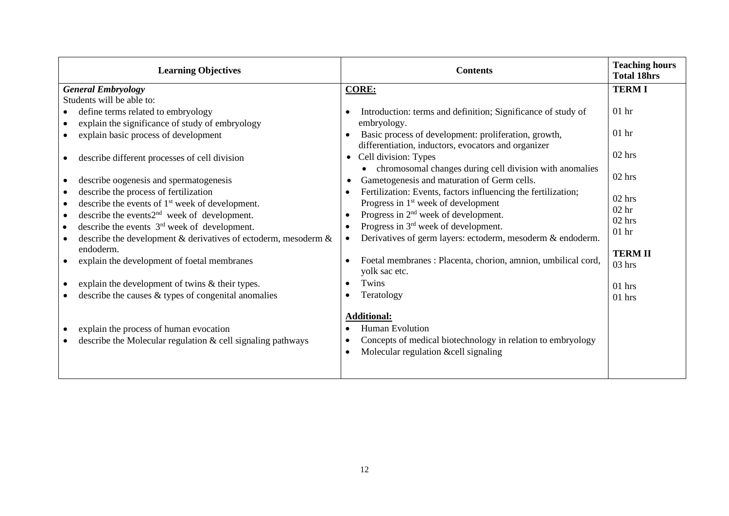| <b>Learning Objectives</b>                                                                               | <b>Contents</b>                                                                                                                                                                    | <b>Teaching hours</b><br><b>Total 18hrs</b> |
|----------------------------------------------------------------------------------------------------------|------------------------------------------------------------------------------------------------------------------------------------------------------------------------------------|---------------------------------------------|
| <b>General Embryology</b>                                                                                | <b>CORE:</b>                                                                                                                                                                       | <b>TERMI</b>                                |
| Students will be able to:                                                                                |                                                                                                                                                                                    |                                             |
| define terms related to embryology                                                                       | Introduction: terms and definition; Significance of study of<br>$\bullet$                                                                                                          | $01$ hr                                     |
| explain the significance of study of embryology                                                          | embryology.                                                                                                                                                                        |                                             |
| explain basic process of development                                                                     | Basic process of development: proliferation, growth,                                                                                                                               | 01 <sub>hr</sub>                            |
|                                                                                                          | differentiation, inductors, evocators and organizer                                                                                                                                |                                             |
| describe different processes of cell division                                                            | Cell division: Types<br>$\bullet$                                                                                                                                                  | 02 hrs                                      |
|                                                                                                          | chromosomal changes during cell division with anomalies<br>$\bullet$                                                                                                               |                                             |
| describe oogenesis and spermatogenesis                                                                   | Gametogenesis and maturation of Germ cells.<br>$\bullet$                                                                                                                           | $02$ hrs                                    |
| describe the process of fertilization                                                                    | Fertilization: Events, factors influencing the fertilization;<br>$\bullet$                                                                                                         | $02$ hrs                                    |
| describe the events of $1st$ week of development.<br>$\bullet$                                           | Progress in $1st$ week of development                                                                                                                                              | 02 <sub>hr</sub>                            |
| describe the events $2nd$ week of development.                                                           | Progress in $2nd$ week of development.<br>$\bullet$                                                                                                                                | $02$ hrs                                    |
| describe the events $3rd$ week of development.                                                           | Progress in $3rd$ week of development.<br>$\bullet$                                                                                                                                | $01$ hr                                     |
| describe the development & derivatives of ectoderm, mesoderm &<br>endoderm.                              | Derivatives of germ layers: ectoderm, mesoderm & endoderm.<br>$\bullet$                                                                                                            |                                             |
| explain the development of foetal membranes                                                              | Foetal membranes : Placenta, chorion, amnion, umbilical cord,<br>$\bullet$                                                                                                         | <b>TERM II</b>                              |
|                                                                                                          | yolk sac etc.                                                                                                                                                                      | $03$ hrs                                    |
| explain the development of twins & their types.                                                          | Twins<br>$\bullet$                                                                                                                                                                 | $01$ hrs                                    |
| describe the causes $\&$ types of congenital anomalies                                                   | Teratology<br>$\bullet$                                                                                                                                                            | $01$ hrs                                    |
| explain the process of human evocation<br>describe the Molecular regulation $\&$ cell signaling pathways | <b>Additional:</b><br><b>Human Evolution</b><br>٠<br>Concepts of medical biotechnology in relation to embryology<br>$\bullet$<br>Molecular regulation &cell signaling<br>$\bullet$ |                                             |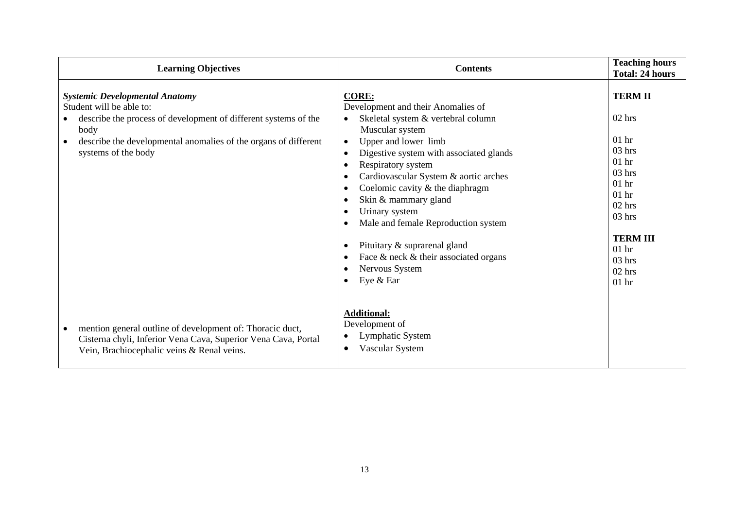| <b>Learning Objectives</b>                                                                                                                                                                                                             | <b>Contents</b>                                                                                                                                                                                                                                                                                                                                                                                                                                                                                                                                                             | <b>Teaching hours</b><br><b>Total: 24 hours</b>                                                                                                                                                           |
|----------------------------------------------------------------------------------------------------------------------------------------------------------------------------------------------------------------------------------------|-----------------------------------------------------------------------------------------------------------------------------------------------------------------------------------------------------------------------------------------------------------------------------------------------------------------------------------------------------------------------------------------------------------------------------------------------------------------------------------------------------------------------------------------------------------------------------|-----------------------------------------------------------------------------------------------------------------------------------------------------------------------------------------------------------|
| <b>Systemic Developmental Anatomy</b><br>Student will be able to:<br>describe the process of development of different systems of the<br>body<br>describe the developmental anomalies of the organs of different<br>systems of the body | <b>CORE:</b><br>Development and their Anomalies of<br>Skeletal system & vertebral column<br>Muscular system<br>Upper and lower limb<br>$\bullet$<br>Digestive system with associated glands<br>$\bullet$<br>Respiratory system<br>٠<br>Cardiovascular System & aortic arches<br>٠<br>Coelomic cavity & the diaphragm<br>٠<br>Skin & mammary gland<br>٠<br>Urinary system<br>$\bullet$<br>Male and female Reproduction system<br>٠<br>Pituitary & suprarenal gland<br>٠<br>Face $\&$ neck $\&$ their associated organs<br>٠<br>Nervous System<br>٠<br>Eye & Ear<br>$\bullet$ | <b>TERM II</b><br>$02$ hrs<br>01 <sub>hr</sub><br>$03$ hrs<br>$01$ hr<br>$03$ hrs<br>$01$ hr<br>$01$ hr<br>$02$ hrs<br>$03$ hrs<br><b>TERM III</b><br>01 <sub>hr</sub><br>$03$ hrs<br>$02$ hrs<br>$01$ hr |
| mention general outline of development of: Thoracic duct,<br>Cisterna chyli, Inferior Vena Cava, Superior Vena Cava, Portal<br>Vein, Brachiocephalic veins & Renal veins.                                                              | <b>Additional:</b><br>Development of<br>Lymphatic System<br>$\bullet$<br>Vascular System<br>$\bullet$                                                                                                                                                                                                                                                                                                                                                                                                                                                                       |                                                                                                                                                                                                           |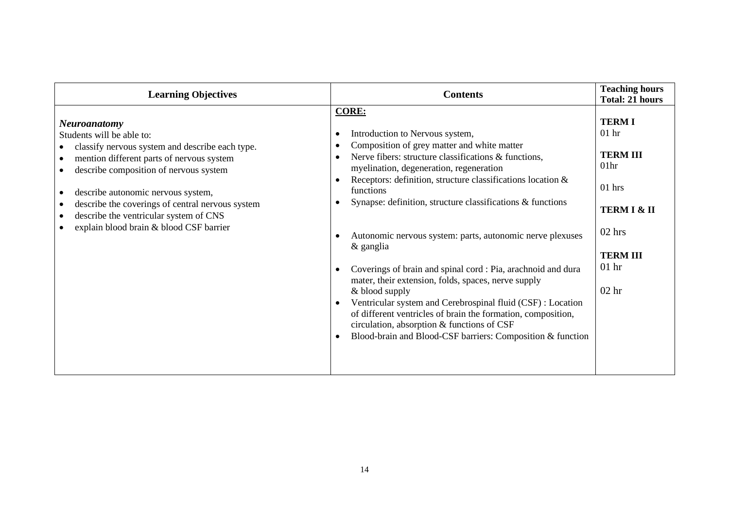| <b>Learning Objectives</b>                                                                                                                                                                                                                                                                                                                                                             | <b>Contents</b>                                                                                                                                                                                                                                                                                                                                                                                                                                                                                                                                                                                                                                                                                                                                                                                                                     | <b>Teaching hours</b><br><b>Total: 21 hours</b>                                                                                                                              |
|----------------------------------------------------------------------------------------------------------------------------------------------------------------------------------------------------------------------------------------------------------------------------------------------------------------------------------------------------------------------------------------|-------------------------------------------------------------------------------------------------------------------------------------------------------------------------------------------------------------------------------------------------------------------------------------------------------------------------------------------------------------------------------------------------------------------------------------------------------------------------------------------------------------------------------------------------------------------------------------------------------------------------------------------------------------------------------------------------------------------------------------------------------------------------------------------------------------------------------------|------------------------------------------------------------------------------------------------------------------------------------------------------------------------------|
| <b>Neuroanatomy</b><br>Students will be able to:<br>classify nervous system and describe each type.<br>mention different parts of nervous system<br>describe composition of nervous system<br>describe autonomic nervous system,<br>describe the coverings of central nervous system<br>describe the ventricular system of CNS<br>$\bullet$<br>explain blood brain & blood CSF barrier | <b>CORE:</b><br>Introduction to Nervous system,<br>Composition of grey matter and white matter<br>Nerve fibers: structure classifications & functions,<br>myelination, degeneration, regeneration<br>Receptors: definition, structure classifications location &<br>$\bullet$<br>functions<br>Synapse: definition, structure classifications & functions<br>Autonomic nervous system: parts, autonomic nerve plexuses<br>& ganglia<br>Coverings of brain and spinal cord : Pia, arachnoid and dura<br>mater, their extension, folds, spaces, nerve supply<br>& blood supply<br>Ventricular system and Cerebrospinal fluid (CSF) : Location<br>$\bullet$<br>of different ventricles of brain the formation, composition,<br>circulation, absorption & functions of CSF<br>Blood-brain and Blood-CSF barriers: Composition & function | <b>TERM I</b><br>01 <sub>hr</sub><br><b>TERM III</b><br>01 <sub>hr</sub><br>$01$ hrs<br><b>TERM I &amp; II</b><br>$02$ hrs<br><b>TERM III</b><br>$01$ hr<br>02 <sub>hr</sub> |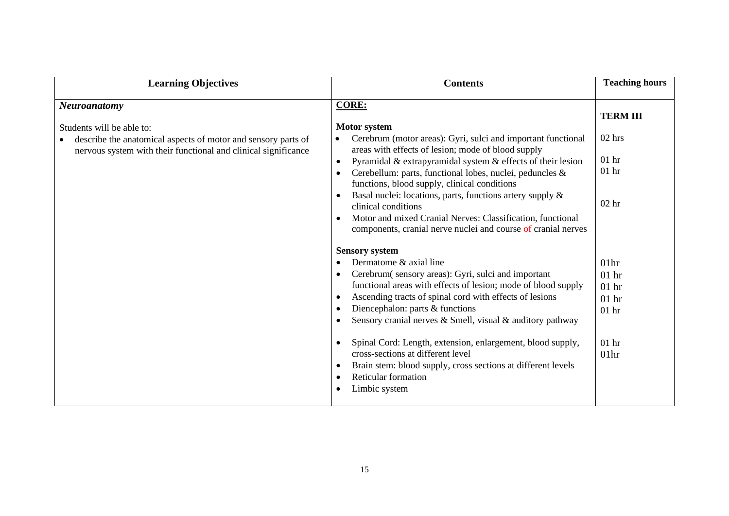| <b>Learning Objectives</b>                                                                                                                                   | <b>Contents</b>                                                                                                                                                                                                                                                                                                                                                                                                                                                                                                                                                                                                          | <b>Teaching hours</b>                                                                       |
|--------------------------------------------------------------------------------------------------------------------------------------------------------------|--------------------------------------------------------------------------------------------------------------------------------------------------------------------------------------------------------------------------------------------------------------------------------------------------------------------------------------------------------------------------------------------------------------------------------------------------------------------------------------------------------------------------------------------------------------------------------------------------------------------------|---------------------------------------------------------------------------------------------|
| <b>Neuroanatomy</b>                                                                                                                                          | <b>CORE:</b>                                                                                                                                                                                                                                                                                                                                                                                                                                                                                                                                                                                                             | <b>TERM III</b>                                                                             |
| Students will be able to:<br>describe the anatomical aspects of motor and sensory parts of<br>nervous system with their functional and clinical significance | <b>Motor system</b><br>Cerebrum (motor areas): Gyri, sulci and important functional<br>$\bullet$<br>areas with effects of lesion; mode of blood supply<br>Pyramidal & extrapyramidal system & effects of their lesion<br>$\bullet$<br>Cerebellum: parts, functional lobes, nuclei, peduncles &<br>$\bullet$<br>functions, blood supply, clinical conditions<br>Basal nuclei: locations, parts, functions artery supply &<br>$\bullet$<br>clinical conditions<br>Motor and mixed Cranial Nerves: Classification, functional<br>components, cranial nerve nuclei and course of cranial nerves                              | $02$ hrs<br>01 <sub>hr</sub><br>$01$ hr<br>02 <sub>hr</sub>                                 |
|                                                                                                                                                              | <b>Sensory system</b><br>Dermatome & axial line<br>$\bullet$<br>Cerebrum (sensory areas): Gyri, sulci and important<br>$\bullet$<br>functional areas with effects of lesion; mode of blood supply<br>Ascending tracts of spinal cord with effects of lesions<br>$\bullet$<br>Diencephalon: parts & functions<br>٠<br>Sensory cranial nerves & Smell, visual & auditory pathway<br>Spinal Cord: Length, extension, enlargement, blood supply,<br>$\bullet$<br>cross-sections at different level<br>Brain stem: blood supply, cross sections at different levels<br>$\bullet$<br>Reticular formation<br>٠<br>Limbic system | 01 <sub>hr</sub><br>$01$ hr<br>$01$ hr<br>$01$ hr<br>$01$ hr<br>$01$ hr<br>01 <sub>hr</sub> |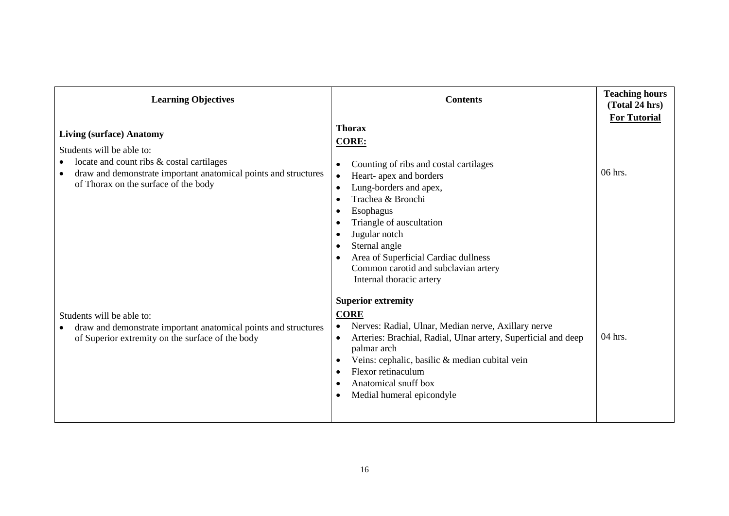| <b>Learning Objectives</b>                                                                                                                                                                                                        | <b>Contents</b>                                                                                                                                                                                                                                                                                                                                            | <b>Teaching hours</b><br>(Total 24 hrs) |
|-----------------------------------------------------------------------------------------------------------------------------------------------------------------------------------------------------------------------------------|------------------------------------------------------------------------------------------------------------------------------------------------------------------------------------------------------------------------------------------------------------------------------------------------------------------------------------------------------------|-----------------------------------------|
| <b>Living (surface) Anatomy</b><br>Students will be able to:<br>locate and count ribs & costal cartilages<br>draw and demonstrate important anatomical points and structures<br>$\bullet$<br>of Thorax on the surface of the body | <b>Thorax</b><br><b>CORE:</b><br>Counting of ribs and costal cartilages<br>Heart- apex and borders<br>$\bullet$<br>Lung-borders and apex,<br>٠<br>Trachea & Bronchi<br>Esophagus<br>Triangle of auscultation<br>Jugular notch<br>Sternal angle<br>Area of Superficial Cardiac dullness<br>Common carotid and subclavian artery<br>Internal thoracic artery | <b>For Tutorial</b><br>$06$ hrs.        |
| Students will be able to:<br>draw and demonstrate important anatomical points and structures<br>$\bullet$<br>of Superior extremity on the surface of the body                                                                     | <b>Superior extremity</b><br><b>CORE</b><br>Nerves: Radial, Ulnar, Median nerve, Axillary nerve<br>$\bullet$<br>Arteries: Brachial, Radial, Ulnar artery, Superficial and deep<br>$\bullet$<br>palmar arch<br>Veins: cephalic, basilic & median cubital vein<br>Flexor retinaculum<br>Anatomical snuff box<br>Medial humeral epicondyle                    | 04 hrs.                                 |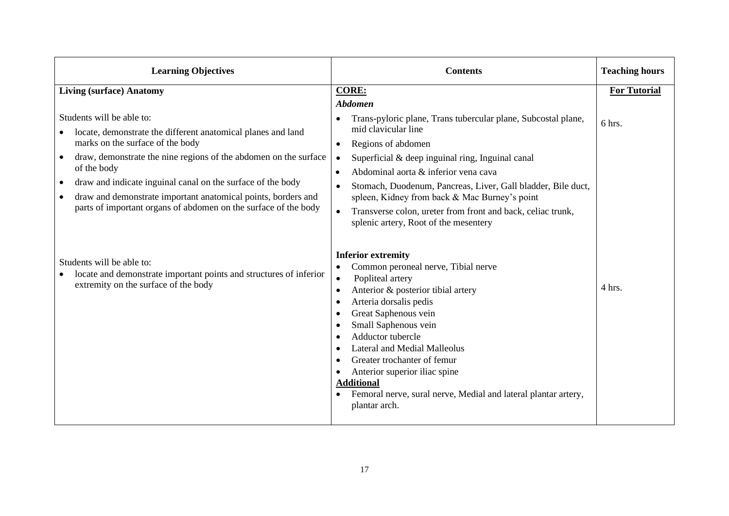| <b>Learning Objectives</b>                                                                                                                                                                                                                                                                                                                                                                                                                    | <b>Contents</b>                                                                                                                                                                                                                                                                                                                                                                                                                                                                                                                 | <b>Teaching hours</b> |
|-----------------------------------------------------------------------------------------------------------------------------------------------------------------------------------------------------------------------------------------------------------------------------------------------------------------------------------------------------------------------------------------------------------------------------------------------|---------------------------------------------------------------------------------------------------------------------------------------------------------------------------------------------------------------------------------------------------------------------------------------------------------------------------------------------------------------------------------------------------------------------------------------------------------------------------------------------------------------------------------|-----------------------|
| <b>Living (surface) Anatomy</b>                                                                                                                                                                                                                                                                                                                                                                                                               | <b>CORE:</b>                                                                                                                                                                                                                                                                                                                                                                                                                                                                                                                    | <b>For Tutorial</b>   |
| Students will be able to:<br>locate, demonstrate the different anatomical planes and land<br>marks on the surface of the body<br>draw, demonstrate the nine regions of the abdomen on the surface<br>$\bullet$<br>of the body<br>draw and indicate inguinal canal on the surface of the body<br>$\bullet$<br>draw and demonstrate important anatomical points, borders and<br>parts of important organs of abdomen on the surface of the body | <b>Abdomen</b><br>Trans-pyloric plane, Trans tubercular plane, Subcostal plane,<br>$\bullet$<br>mid clavicular line<br>Regions of abdomen<br>$\bullet$<br>Superficial & deep inguinal ring, Inguinal canal<br>$\bullet$<br>Abdominal aorta & inferior vena cava<br>$\bullet$<br>Stomach, Duodenum, Pancreas, Liver, Gall bladder, Bile duct,<br>$\bullet$<br>spleen, Kidney from back & Mac Burney's point<br>Transverse colon, ureter from front and back, celiac trunk,<br>$\bullet$<br>splenic artery, Root of the mesentery | 6 hrs.                |
| Students will be able to:<br>locate and demonstrate important points and structures of inferior<br>extremity on the surface of the body                                                                                                                                                                                                                                                                                                       | <b>Inferior extremity</b><br>Common peroneal nerve, Tibial nerve<br>$\bullet$<br>Popliteal artery<br>$\bullet$<br>Anterior & posterior tibial artery<br>$\bullet$<br>Arteria dorsalis pedis<br>$\bullet$<br>Great Saphenous vein<br>$\bullet$<br>Small Saphenous vein<br>Adductor tubercle<br><b>Lateral and Medial Malleolus</b><br>Greater trochanter of femur<br>Anterior superior iliac spine<br><b>Additional</b><br>Femoral nerve, sural nerve, Medial and lateral plantar artery,<br>plantar arch.                       | 4 hrs.                |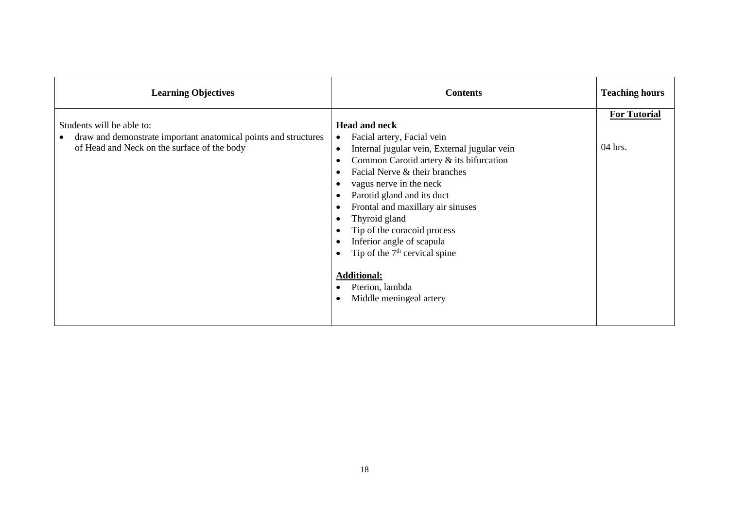| <b>Learning Objectives</b>                                                                                                                  | <b>Contents</b>                                                                                                                                                                                                                                                                                                                                                                                                                                                                                                                                                                                         | <b>Teaching hours</b>            |
|---------------------------------------------------------------------------------------------------------------------------------------------|---------------------------------------------------------------------------------------------------------------------------------------------------------------------------------------------------------------------------------------------------------------------------------------------------------------------------------------------------------------------------------------------------------------------------------------------------------------------------------------------------------------------------------------------------------------------------------------------------------|----------------------------------|
| Students will be able to:<br>draw and demonstrate important anatomical points and structures<br>of Head and Neck on the surface of the body | <b>Head and neck</b><br>Facial artery, Facial vein<br>$\bullet$<br>Internal jugular vein, External jugular vein<br>$\bullet$<br>Common Carotid artery & its bifurcation<br>$\bullet$<br>Facial Nerve & their branches<br>$\bullet$<br>vagus nerve in the neck<br>Parotid gland and its duct<br>$\bullet$<br>Frontal and maxillary air sinuses<br>$\bullet$<br>Thyroid gland<br>$\bullet$<br>Tip of the coracoid process<br>$\bullet$<br>Inferior angle of scapula<br>$\bullet$<br>Tip of the $7th$ cervical spine<br>$\bullet$<br><b>Additional:</b><br>Pterion, lambda<br>Middle meningeal artery<br>٠ | <b>For Tutorial</b><br>$04$ hrs. |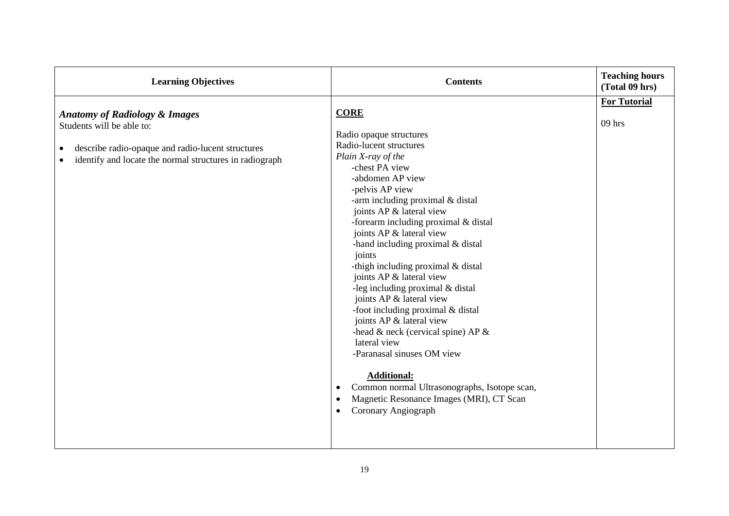| <b>Learning Objectives</b>                                                                                                                                                            | <b>Contents</b>                                                                                                                                                                                                                                                                                                                                                                                                                                                                                                                                                                                                                                                                                                                                                                        | <b>Teaching hours</b><br>(Total 09 hrs) |
|---------------------------------------------------------------------------------------------------------------------------------------------------------------------------------------|----------------------------------------------------------------------------------------------------------------------------------------------------------------------------------------------------------------------------------------------------------------------------------------------------------------------------------------------------------------------------------------------------------------------------------------------------------------------------------------------------------------------------------------------------------------------------------------------------------------------------------------------------------------------------------------------------------------------------------------------------------------------------------------|-----------------------------------------|
| <b>Anatomy of Radiology &amp; Images</b><br>Students will be able to:<br>describe radio-opaque and radio-lucent structures<br>identify and locate the normal structures in radiograph | <b>CORE</b><br>Radio opaque structures<br>Radio-lucent structures<br>Plain X-ray of the<br>-chest PA view<br>-abdomen AP view<br>-pelvis AP view<br>-arm including proximal & distal<br>joints AP & lateral view<br>-forearm including proximal & distal<br>joints AP & lateral view<br>-hand including proximal & distal<br>joints<br>-thigh including proximal & distal<br>joints AP & lateral view<br>-leg including proximal & distal<br>joints AP & lateral view<br>-foot including proximal & distal<br>joints AP & lateral view<br>-head $\&$ neck (cervical spine) AP $\&$<br>lateral view<br>-Paranasal sinuses OM view<br><b>Additional:</b><br>Common normal Ultrasonographs, Isotope scan,<br>$\bullet$<br>Magnetic Resonance Images (MRI), CT Scan<br>Coronary Angiograph | <b>For Tutorial</b><br>$09$ hrs         |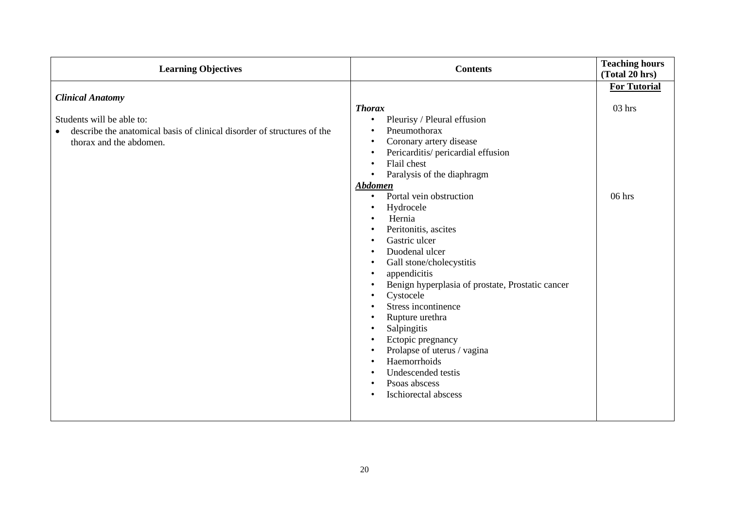| <b>Learning Objectives</b>                                                                                                                                              | <b>Contents</b>                                                                                                                                                                                                                                                                                                                                                                                                                                                                                                                                                                                                                                                                                                                                                                                                                                                                                                  | <b>Teaching hours</b><br>(Total 20 hrs)     |
|-------------------------------------------------------------------------------------------------------------------------------------------------------------------------|------------------------------------------------------------------------------------------------------------------------------------------------------------------------------------------------------------------------------------------------------------------------------------------------------------------------------------------------------------------------------------------------------------------------------------------------------------------------------------------------------------------------------------------------------------------------------------------------------------------------------------------------------------------------------------------------------------------------------------------------------------------------------------------------------------------------------------------------------------------------------------------------------------------|---------------------------------------------|
| <b>Clinical Anatomy</b><br>Students will be able to:<br>describe the anatomical basis of clinical disorder of structures of the<br>$\bullet$<br>thorax and the abdomen. | <b>Thorax</b><br>Pleurisy / Pleural effusion<br>$\bullet$<br>Pneumothorax<br>$\bullet$<br>Coronary artery disease<br>$\bullet$<br>Pericarditis/ pericardial effusion<br>$\bullet$<br>Flail chest<br>$\bullet$<br>Paralysis of the diaphragm<br>$\bullet$<br><b>Abdomen</b><br>Portal vein obstruction<br>$\bullet$<br>Hydrocele<br>Hernia<br>Peritonitis, ascites<br>$\bullet$<br>Gastric ulcer<br>$\bullet$<br>Duodenal ulcer<br>$\bullet$<br>Gall stone/cholecystitis<br>$\bullet$<br>appendicitis<br>$\bullet$<br>Benign hyperplasia of prostate, Prostatic cancer<br>$\bullet$<br>Cystocele<br>$\bullet$<br>Stress incontinence<br>$\bullet$<br>Rupture urethra<br>$\bullet$<br>Salpingitis<br>$\bullet$<br>Ectopic pregnancy<br>$\bullet$<br>Prolapse of uterus / vagina<br>$\bullet$<br>Haemorrhoids<br>$\bullet$<br>Undescended testis<br>Psoas abscess<br>$\bullet$<br>Ischiorectal abscess<br>$\bullet$ | <b>For Tutorial</b><br>$03$ hrs<br>$06$ hrs |
|                                                                                                                                                                         |                                                                                                                                                                                                                                                                                                                                                                                                                                                                                                                                                                                                                                                                                                                                                                                                                                                                                                                  |                                             |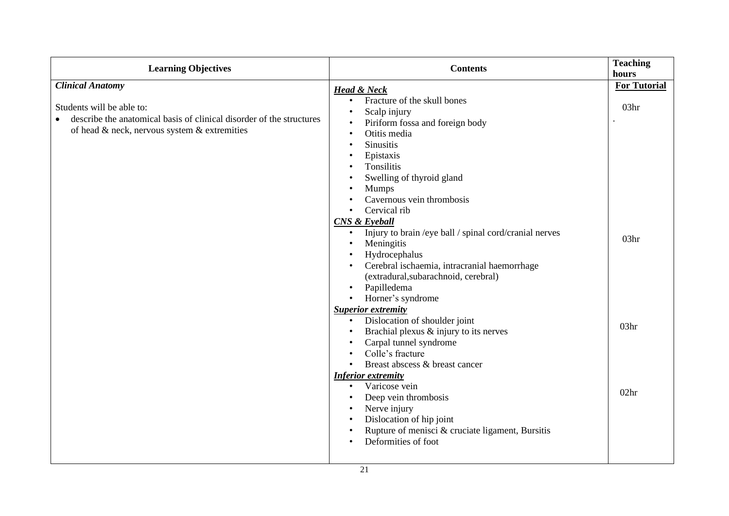| <b>Learning Objectives</b>                                                                                                                                     | <b>Contents</b>                                                                                                                                                                                                                                                                                                                                                                                                                                                                                                                                                                                                           | <b>Teaching</b><br>hours                                 |
|----------------------------------------------------------------------------------------------------------------------------------------------------------------|---------------------------------------------------------------------------------------------------------------------------------------------------------------------------------------------------------------------------------------------------------------------------------------------------------------------------------------------------------------------------------------------------------------------------------------------------------------------------------------------------------------------------------------------------------------------------------------------------------------------------|----------------------------------------------------------|
| <b>Clinical Anatomy</b>                                                                                                                                        |                                                                                                                                                                                                                                                                                                                                                                                                                                                                                                                                                                                                                           | <b>For Tutorial</b>                                      |
| Students will be able to:<br>describe the anatomical basis of clinical disorder of the structures<br>$\bullet$<br>of head & neck, nervous system & extremities | <b>Head &amp; Neck</b><br>Fracture of the skull bones<br>$\bullet$<br>Scalp injury<br>$\bullet$<br>Piriform fossa and foreign body<br>Otitis media<br><b>Sinusitis</b><br>Epistaxis<br>Tonsilitis<br>Swelling of thyroid gland<br><b>Mumps</b><br>Cavernous vein thrombosis<br>Cervical rib<br>CNS & Eyeball<br>Injury to brain /eye ball / spinal cord/cranial nerves<br>$\bullet$<br>Meningitis<br>Hydrocephalus<br>Cerebral ischaemia, intracranial haemorrhage<br>(extradural, subarachnoid, cerebral)<br>Papilledema<br>Horner's syndrome<br><b>Superior extremity</b><br>Dislocation of shoulder joint<br>$\bullet$ | 03 <sub>hr</sub><br>03 <sub>hr</sub><br>03 <sub>hr</sub> |
|                                                                                                                                                                | Brachial plexus & injury to its nerves<br>Carpal tunnel syndrome<br>Colle's fracture<br>Breast abscess & breast cancer<br><b>Inferior extremity</b><br>Varicose vein<br>$\bullet$<br>Deep vein thrombosis<br>$\bullet$<br>Nerve injury<br>Dislocation of hip joint<br>Rupture of menisci & cruciate ligament, Bursitis<br>Deformities of foot<br>$\bullet$                                                                                                                                                                                                                                                                | 02 <sub>hr</sub>                                         |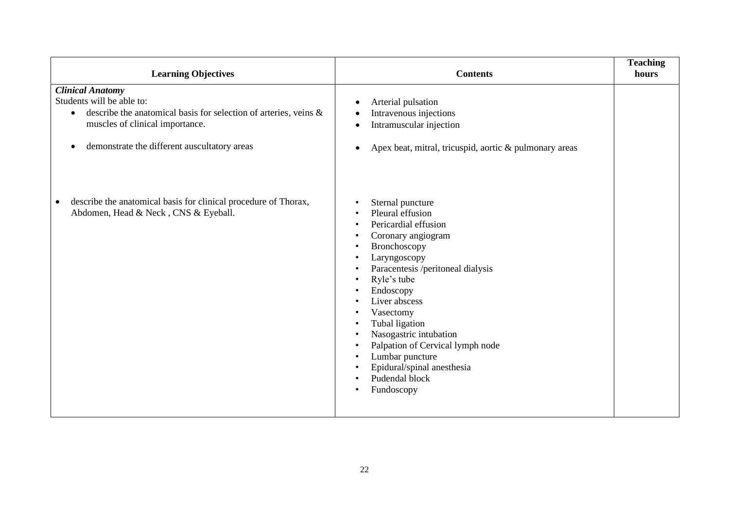| <b>Learning Objectives</b>                                                                                                                                                                                                            | <b>Contents</b>                                                                                                                                                                                                                                                                                                                                                                                                                                                                                                      | <b>Teaching</b><br>hours |
|---------------------------------------------------------------------------------------------------------------------------------------------------------------------------------------------------------------------------------------|----------------------------------------------------------------------------------------------------------------------------------------------------------------------------------------------------------------------------------------------------------------------------------------------------------------------------------------------------------------------------------------------------------------------------------------------------------------------------------------------------------------------|--------------------------|
| <b>Clinical Anatomy</b><br>Students will be able to:<br>describe the anatomical basis for selection of arteries, veins &<br>$\bullet$<br>muscles of clinical importance.<br>demonstrate the different auscultatory areas<br>$\bullet$ | Arterial pulsation<br>$\bullet$<br>Intravenous injections<br>Intramuscular injection<br>$\bullet$<br>Apex beat, mitral, tricuspid, aortic & pulmonary areas<br>$\bullet$                                                                                                                                                                                                                                                                                                                                             |                          |
| describe the anatomical basis for clinical procedure of Thorax,<br>Abdomen, Head & Neck, CNS & Eyeball.                                                                                                                               | Sternal puncture<br>$\bullet$<br>Pleural effusion<br>Pericardial effusion<br>$\bullet$<br>Coronary angiogram<br>Bronchoscopy<br>$\bullet$<br>Laryngoscopy<br>Paracentesis /peritoneal dialysis<br>$\bullet$<br>Ryle's tube<br>$\bullet$<br>Endoscopy<br>Liver abscess<br>Vasectomy<br>Tubal ligation<br>Nasogastric intubation<br>$\bullet$<br>Palpation of Cervical lymph node<br>$\bullet$<br>Lumbar puncture<br>$\bullet$<br>Epidural/spinal anesthesia<br>Pudendal block<br>$\bullet$<br>Fundoscopy<br>$\bullet$ |                          |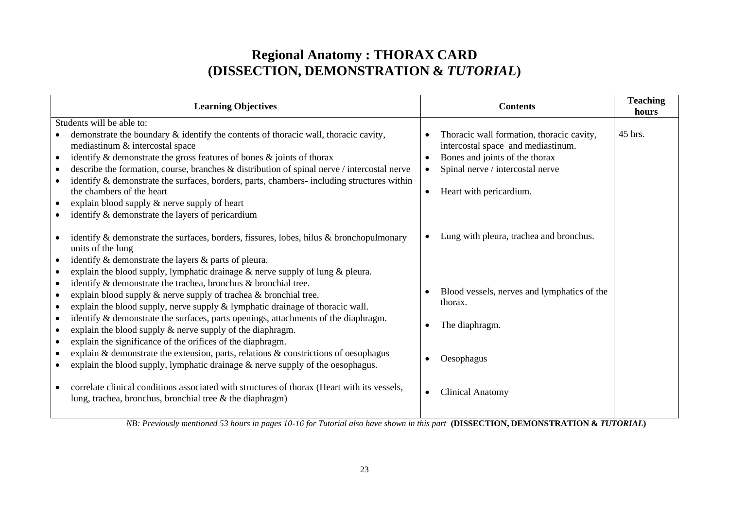# **Regional Anatomy : THORAX CARD (DISSECTION, DEMONSTRATION &** *TUTORIAL***)**

|                                                                                                      | <b>Learning Objectives</b>                                                                                                                                                                                                                                                                                                                                                                                                                                                                                                                                                                                                                                                                                                                                                                                |                        | <b>Contents</b>                                                                                                                                                                  | <b>Teaching</b><br>hours |
|------------------------------------------------------------------------------------------------------|-----------------------------------------------------------------------------------------------------------------------------------------------------------------------------------------------------------------------------------------------------------------------------------------------------------------------------------------------------------------------------------------------------------------------------------------------------------------------------------------------------------------------------------------------------------------------------------------------------------------------------------------------------------------------------------------------------------------------------------------------------------------------------------------------------------|------------------------|----------------------------------------------------------------------------------------------------------------------------------------------------------------------------------|--------------------------|
|                                                                                                      | Students will be able to:                                                                                                                                                                                                                                                                                                                                                                                                                                                                                                                                                                                                                                                                                                                                                                                 |                        |                                                                                                                                                                                  |                          |
| $\bullet$<br>$\bullet$<br>$\bullet$                                                                  | demonstrate the boundary $\&$ identify the contents of thoracic wall, thoracic cavity,<br>mediastinum & intercostal space<br>identify $\&$ demonstrate the gross features of bones $\&$ joints of thorax<br>describe the formation, course, branches & distribution of spinal nerve / intercostal nerve<br>identify & demonstrate the surfaces, borders, parts, chambers- including structures within<br>the chambers of the heart<br>explain blood supply & nerve supply of heart<br>identify & demonstrate the layers of pericardium                                                                                                                                                                                                                                                                    | $\bullet$<br>$\bullet$ | Thoracic wall formation, thoracic cavity,<br>intercostal space and mediastinum.<br>Bones and joints of the thorax<br>Spinal nerve / intercostal nerve<br>Heart with pericardium. | 45 hrs.                  |
| $\bullet$<br>$\bullet$<br>$\bullet$<br>$\bullet$<br>$\bullet$<br>$\bullet$<br>$\bullet$<br>$\bullet$ | identify $\&$ demonstrate the surfaces, borders, fissures, lobes, hilus $\&$ bronchopulmonary<br>units of the lung<br>identify & demonstrate the layers & parts of pleura.<br>explain the blood supply, lymphatic drainage $\&$ nerve supply of lung $\&$ pleura.<br>identify & demonstrate the trachea, bronchus & bronchial tree.<br>explain blood supply $\&$ nerve supply of trachea $\&$ bronchial tree.<br>explain the blood supply, nerve supply & lymphatic drainage of thoracic wall.<br>identify & demonstrate the surfaces, parts openings, attachments of the diaphragm.<br>explain the blood supply $\&$ nerve supply of the diaphragm.<br>explain the significance of the orifices of the diaphragm.<br>explain & demonstrate the extension, parts, relations & constrictions of oesophagus | $\bullet$              | Lung with pleura, trachea and bronchus.<br>Blood vessels, nerves and lymphatics of the<br>thorax.<br>The diaphragm.                                                              |                          |
|                                                                                                      | explain the blood supply, lymphatic drainage $\&$ nerve supply of the oesophagus.<br>correlate clinical conditions associated with structures of thorax (Heart with its vessels,<br>lung, trachea, bronchus, bronchial tree $\&$ the diaphragm)                                                                                                                                                                                                                                                                                                                                                                                                                                                                                                                                                           | $\bullet$              | Oesophagus<br><b>Clinical Anatomy</b>                                                                                                                                            |                          |

*NB: Previously mentioned 53 hours in pages 10-16 for Tutorial also have shown in this part* **(DISSECTION, DEMONSTRATION &** *TUTORIAL***)**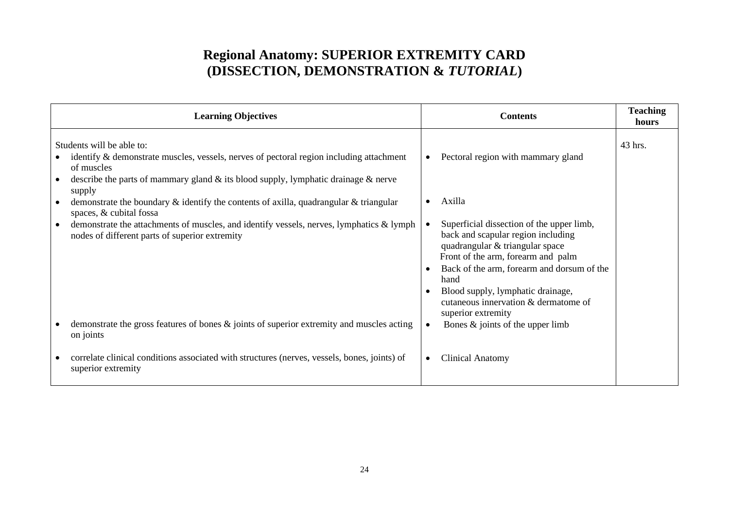# **Regional Anatomy: SUPERIOR EXTREMITY CARD (DISSECTION, DEMONSTRATION &** *TUTORIAL***)**

|           | <b>Learning Objectives</b>                                                                                                                                                                                                        |           | <b>Contents</b>                                                                                                                                                   | <b>Teaching</b><br>hours |
|-----------|-----------------------------------------------------------------------------------------------------------------------------------------------------------------------------------------------------------------------------------|-----------|-------------------------------------------------------------------------------------------------------------------------------------------------------------------|--------------------------|
|           | Students will be able to:<br>identify $\&$ demonstrate muscles, vessels, nerves of pectoral region including attachment<br>of muscles<br>describe the parts of mammary gland $\&$ its blood supply, lymphatic drainage $\&$ nerve | $\bullet$ | Pectoral region with mammary gland                                                                                                                                | 43 hrs.                  |
| $\bullet$ | supply<br>demonstrate the boundary $\&$ identify the contents of axilla, quadrangular $\&$ triangular<br>spaces, & cubital fossa<br>demonstrate the attachments of muscles, and identify vessels, nerves, lymphatics & lymph      |           | Axilla<br>Superficial dissection of the upper limb,                                                                                                               |                          |
|           | nodes of different parts of superior extremity                                                                                                                                                                                    |           | back and scapular region including<br>quadrangular & triangular space<br>Front of the arm, forearm and palm<br>Back of the arm, forearm and dorsum of the<br>hand |                          |
|           |                                                                                                                                                                                                                                   |           | Blood supply, lymphatic drainage,<br>cutaneous innervation & dermatome of<br>superior extremity                                                                   |                          |
|           | demonstrate the gross features of bones $\&$ joints of superior extremity and muscles acting<br>on joints                                                                                                                         |           | Bones $\&$ joints of the upper limb                                                                                                                               |                          |
|           | correlate clinical conditions associated with structures (nerves, vessels, bones, joints) of<br>superior extremity                                                                                                                | $\bullet$ | <b>Clinical Anatomy</b>                                                                                                                                           |                          |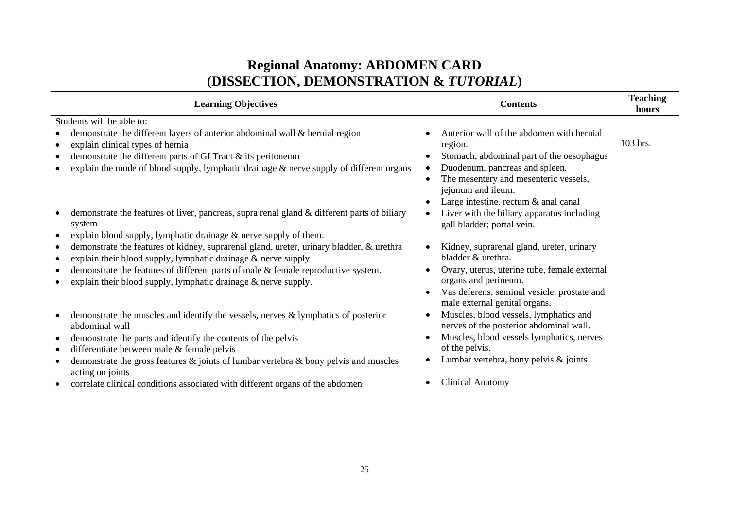# **Regional Anatomy: ABDOMEN CARD (DISSECTION, DEMONSTRATION &** *TUTORIAL***)**

| <b>Learning Objectives</b>                                                                                                  | <b>Contents</b>                                                              | <b>Teaching</b><br>hours |
|-----------------------------------------------------------------------------------------------------------------------------|------------------------------------------------------------------------------|--------------------------|
| Students will be able to:                                                                                                   |                                                                              |                          |
| demonstrate the different layers of anterior abdominal wall & hernial region                                                | Anterior wall of the abdomen with hernial                                    |                          |
| explain clinical types of hernia<br>$\bullet$                                                                               | region.                                                                      | 103 hrs.                 |
| demonstrate the different parts of GI Tract & its peritoneum                                                                | Stomach, abdominal part of the oesophagus                                    |                          |
| explain the mode of blood supply, lymphatic drainage $\&$ nerve supply of different organs                                  | Duodenum, pancreas and spleen.                                               |                          |
|                                                                                                                             | The mesentery and mesenteric vessels,                                        |                          |
|                                                                                                                             | jejunum and ileum.                                                           |                          |
|                                                                                                                             | Large intestine. rectum & anal canal                                         |                          |
| demonstrate the features of liver, pancreas, supra renal gland & different parts of biliary                                 | Liver with the biliary apparatus including                                   |                          |
| system                                                                                                                      | gall bladder; portal vein.                                                   |                          |
| explain blood supply, lymphatic drainage $\&$ nerve supply of them.                                                         |                                                                              |                          |
| demonstrate the features of kidney, suprarenal gland, ureter, urinary bladder, & urethra<br>$\bullet$                       | Kidney, suprarenal gland, ureter, urinary                                    |                          |
| explain their blood supply, lymphatic drainage & nerve supply<br>$\bullet$                                                  | bladder & urethra.                                                           |                          |
| demonstrate the features of different parts of male & female reproductive system.                                           | Ovary, uterus, uterine tube, female external                                 |                          |
| explain their blood supply, lymphatic drainage & nerve supply.                                                              | organs and perineum.                                                         |                          |
|                                                                                                                             | Vas deferens, seminal vesicle, prostate and<br>male external genital organs. |                          |
| demonstrate the muscles and identify the vessels, nerves $\&$ lymphatics of posterior                                       | Muscles, blood vessels, lymphatics and                                       |                          |
| abdominal wall                                                                                                              | nerves of the posterior abdominal wall.                                      |                          |
| demonstrate the parts and identify the contents of the pelvis                                                               | Muscles, blood vessels lymphatics, nerves                                    |                          |
| differentiate between male & female pelvis<br>$\bullet$                                                                     | of the pelvis.                                                               |                          |
| demonstrate the gross features $\&$ joints of lumbar vertebra $\&$ bony pelvis and muscles<br>$\bullet$<br>acting on joints | Lumbar vertebra, bony pelvis & joints                                        |                          |
| correlate clinical conditions associated with different organs of the abdomen                                               | <b>Clinical Anatomy</b>                                                      |                          |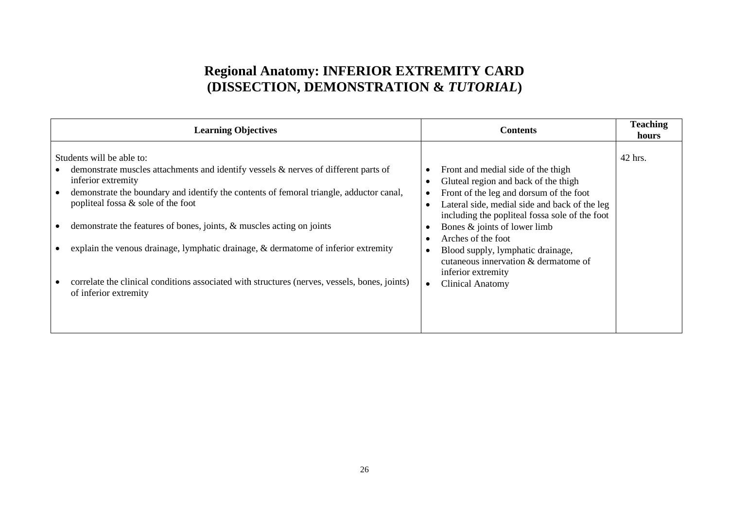# **Regional Anatomy: INFERIOR EXTREMITY CARD (DISSECTION, DEMONSTRATION &** *TUTORIAL***)**

| <b>Learning Objectives</b>                                                                                                                                                                                                                                                                                                                                                                                                                                                                                                                                          | <b>Contents</b>                                                                                                                                                                                                                                                                                                                                                                                              | <b>Teaching</b><br>hours |
|---------------------------------------------------------------------------------------------------------------------------------------------------------------------------------------------------------------------------------------------------------------------------------------------------------------------------------------------------------------------------------------------------------------------------------------------------------------------------------------------------------------------------------------------------------------------|--------------------------------------------------------------------------------------------------------------------------------------------------------------------------------------------------------------------------------------------------------------------------------------------------------------------------------------------------------------------------------------------------------------|--------------------------|
| Students will be able to:<br>demonstrate muscles attachments and identify vessels & nerves of different parts of<br>inferior extremity<br>demonstrate the boundary and identify the contents of femoral triangle, adductor canal,<br>popliteal fossa & sole of the foot<br>demonstrate the features of bones, joints, & muscles acting on joints<br>explain the venous drainage, lymphatic drainage, $\&$ dermatome of inferior extremity<br>correlate the clinical conditions associated with structures (nerves, vessels, bones, joints)<br>of inferior extremity | Front and medial side of the thigh<br>Gluteal region and back of the thigh<br>Front of the leg and dorsum of the foot<br>Lateral side, medial side and back of the leg<br>including the popliteal fossa sole of the foot<br>Bones & joints of lower limb<br>Arches of the foot<br>Blood supply, lymphatic drainage,<br>cutaneous innervation & dermatome of<br>inferior extremity<br><b>Clinical Anatomy</b> | 42 hrs.                  |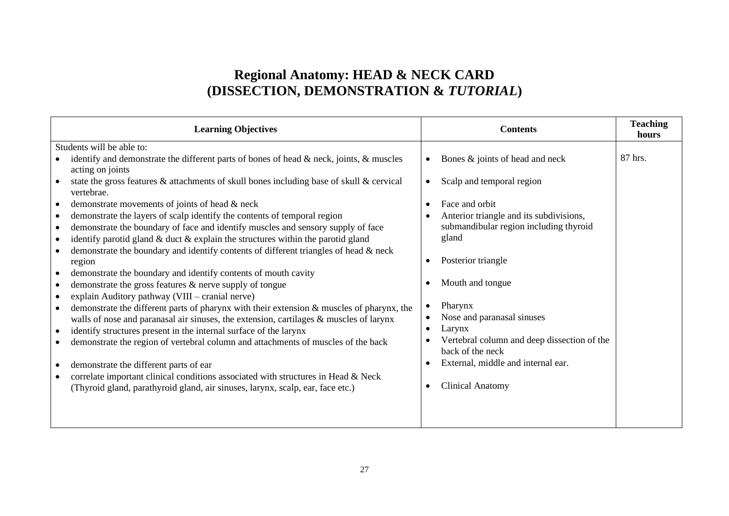# **Regional Anatomy: HEAD & NECK CARD (DISSECTION, DEMONSTRATION &** *TUTORIAL***)**

|           | <b>Learning Objectives</b>                                                                                                                                                          |           | <b>Contents</b>                             | <b>Teaching</b><br>hours |
|-----------|-------------------------------------------------------------------------------------------------------------------------------------------------------------------------------------|-----------|---------------------------------------------|--------------------------|
|           | Students will be able to:                                                                                                                                                           |           |                                             |                          |
|           | identify and demonstrate the different parts of bones of head & neck, joints, & muscles<br>acting on joints                                                                         | $\bullet$ | Bones & joints of head and neck             | 87 hrs.                  |
| $\bullet$ | state the gross features & attachments of skull bones including base of skull & cervical<br>vertebrae.                                                                              | $\bullet$ | Scalp and temporal region                   |                          |
| $\bullet$ | demonstrate movements of joints of head & neck                                                                                                                                      | $\bullet$ | Face and orbit                              |                          |
| $\bullet$ | demonstrate the layers of scalp identify the contents of temporal region                                                                                                            |           | Anterior triangle and its subdivisions,     |                          |
| $\bullet$ | demonstrate the boundary of face and identify muscles and sensory supply of face                                                                                                    |           | submandibular region including thyroid      |                          |
| $\bullet$ | identify parotid gland & duct & explain the structures within the parotid gland                                                                                                     |           | gland                                       |                          |
|           | demonstrate the boundary and identify contents of different triangles of head & neck<br>region                                                                                      | $\bullet$ | Posterior triangle                          |                          |
| $\bullet$ | demonstrate the boundary and identify contents of mouth cavity<br>demonstrate the gross features & nerve supply of tongue                                                           |           | Mouth and tongue                            |                          |
| $\bullet$ | explain Auditory pathway (VIII – cranial nerve)                                                                                                                                     |           | Pharynx                                     |                          |
|           | demonstrate the different parts of pharynx with their extension & muscles of pharynx, the<br>walls of nose and paranasal air sinuses, the extension, cartilages & muscles of larynx |           | Nose and paranasal sinuses                  |                          |
| $\bullet$ | identify structures present in the internal surface of the larynx                                                                                                                   | $\bullet$ | Larynx                                      |                          |
|           | demonstrate the region of vertebral column and attachments of muscles of the back                                                                                                   |           | Vertebral column and deep dissection of the |                          |
|           |                                                                                                                                                                                     |           | back of the neck                            |                          |
|           | demonstrate the different parts of ear                                                                                                                                              |           | External, middle and internal ear.          |                          |
|           | correlate important clinical conditions associated with structures in Head & Neck<br>(Thyroid gland, parathyroid gland, air sinuses, larynx, scalp, ear, face etc.)                 |           | <b>Clinical Anatomy</b>                     |                          |
|           |                                                                                                                                                                                     |           |                                             |                          |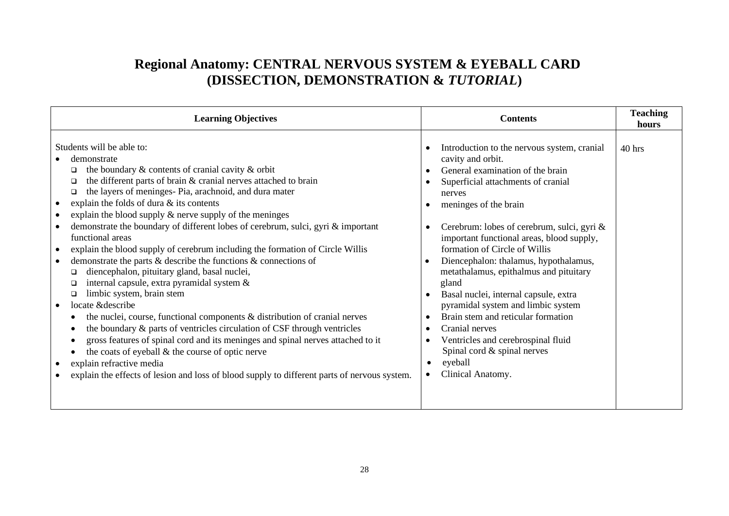# **Regional Anatomy: CENTRAL NERVOUS SYSTEM & EYEBALL CARD (DISSECTION, DEMONSTRATION &** *TUTORIAL***)**

| <b>Learning Objectives</b>                                                                                                                                                                                                                                                                                                                                                                                                                                                                                                                                                                                                                                                                                                                                                                                                                                                                                                                                                                                                                                                                                                                                                                                                                          | <b>Contents</b>                                                                                                                                                                                                                                                                                                                                                                                                                                                                                                                                                                                                                                                | <b>Teaching</b><br>hours |
|-----------------------------------------------------------------------------------------------------------------------------------------------------------------------------------------------------------------------------------------------------------------------------------------------------------------------------------------------------------------------------------------------------------------------------------------------------------------------------------------------------------------------------------------------------------------------------------------------------------------------------------------------------------------------------------------------------------------------------------------------------------------------------------------------------------------------------------------------------------------------------------------------------------------------------------------------------------------------------------------------------------------------------------------------------------------------------------------------------------------------------------------------------------------------------------------------------------------------------------------------------|----------------------------------------------------------------------------------------------------------------------------------------------------------------------------------------------------------------------------------------------------------------------------------------------------------------------------------------------------------------------------------------------------------------------------------------------------------------------------------------------------------------------------------------------------------------------------------------------------------------------------------------------------------------|--------------------------|
| Students will be able to:<br>demonstrate<br>the boundary $\&$ contents of cranial cavity $\&$ orbit<br>◻<br>the different parts of brain & cranial nerves attached to brain<br>◻<br>the layers of meninges- Pia, arachnoid, and dura mater<br>□<br>explain the folds of dura & its contents<br>explain the blood supply $\&$ nerve supply of the meninges<br>demonstrate the boundary of different lobes of cerebrum, sulci, gyri & important<br>functional areas<br>explain the blood supply of cerebrum including the formation of Circle Willis<br>$\bullet$<br>demonstrate the parts $\&$ describe the functions $\&$ connections of<br>diencephalon, pituitary gland, basal nuclei,<br>◻<br>internal capsule, extra pyramidal system &<br>□<br>limbic system, brain stem<br>□<br>locate &describe<br>$\bullet$<br>the nuclei, course, functional components & distribution of cranial nerves<br>the boundary & parts of ventricles circulation of CSF through ventricles<br>gross features of spinal cord and its meninges and spinal nerves attached to it<br>the coats of eyeball $\&$ the course of optic nerve<br>explain refractive media<br>explain the effects of lesion and loss of blood supply to different parts of nervous system. | Introduction to the nervous system, cranial<br>cavity and orbit.<br>General examination of the brain<br>Superficial attachments of cranial<br>nerves<br>meninges of the brain<br>Cerebrum: lobes of cerebrum, sulci, gyri &<br>important functional areas, blood supply,<br>formation of Circle of Willis<br>Diencephalon: thalamus, hypothalamus,<br>metathalamus, epithalmus and pituitary<br>gland<br>Basal nuclei, internal capsule, extra<br>pyramidal system and limbic system<br>Brain stem and reticular formation<br>Cranial nerves<br>Ventricles and cerebrospinal fluid<br>Spinal cord & spinal nerves<br>eyeball<br>Clinical Anatomy.<br>$\bullet$ | $40$ hrs                 |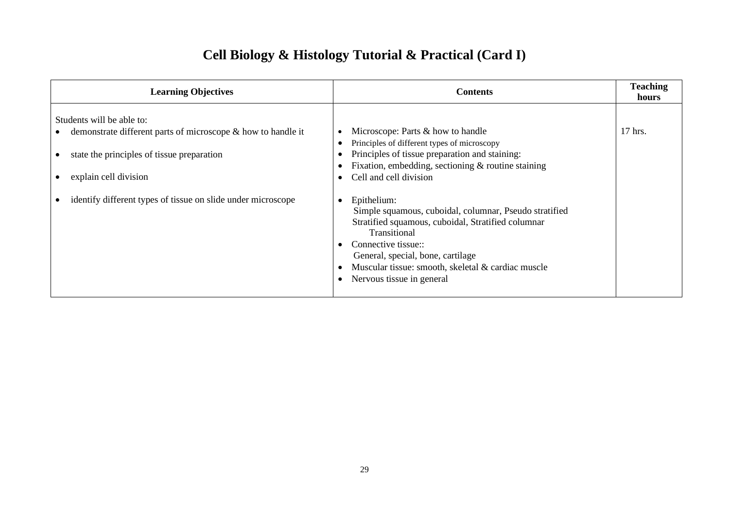# **Cell Biology & Histology Tutorial & Practical (Card I)**

| <b>Learning Objectives</b>                                                                                                                                                                                                       | <b>Contents</b>                                                                                                                                                                                                                                                                                                                                                                                                                  | <b>Teaching</b><br>hours |
|----------------------------------------------------------------------------------------------------------------------------------------------------------------------------------------------------------------------------------|----------------------------------------------------------------------------------------------------------------------------------------------------------------------------------------------------------------------------------------------------------------------------------------------------------------------------------------------------------------------------------------------------------------------------------|--------------------------|
| Students will be able to:<br>demonstrate different parts of microscope & how to handle it<br>state the principles of tissue preparation<br>explain cell division<br>identify different types of tissue on slide under microscope | Microscope: Parts & how to handle<br>Principles of different types of microscopy<br>Principles of tissue preparation and staining:<br>Fixation, embedding, sectioning $\&$ routine staining<br>Cell and cell division<br>Epithelium:<br>Simple squamous, cuboidal, columnar, Pseudo stratified<br>Stratified squamous, cuboidal, Stratified columnar<br>Transitional<br>Connective tissue::<br>General, special, bone, cartilage | 17 hrs.                  |
|                                                                                                                                                                                                                                  | Muscular tissue: smooth, skeletal & cardiac muscle<br>Nervous tissue in general                                                                                                                                                                                                                                                                                                                                                  |                          |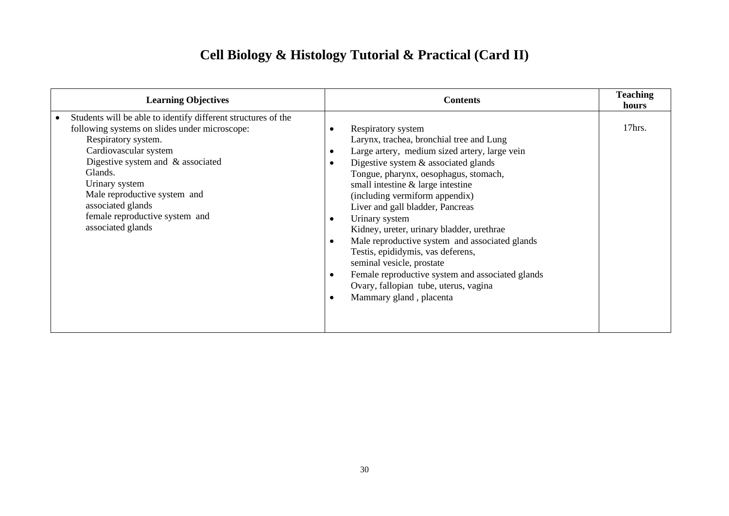# **Cell Biology & Histology Tutorial & Practical (Card II)**

| <b>Learning Objectives</b>                                                                                                                                                                                                                                                                                                                      | <b>Contents</b>                                                                                                                                                                                                                                                                                                                                                                                                                                                                                                                                                                                                                                                            | <b>Teaching</b><br>hours |
|-------------------------------------------------------------------------------------------------------------------------------------------------------------------------------------------------------------------------------------------------------------------------------------------------------------------------------------------------|----------------------------------------------------------------------------------------------------------------------------------------------------------------------------------------------------------------------------------------------------------------------------------------------------------------------------------------------------------------------------------------------------------------------------------------------------------------------------------------------------------------------------------------------------------------------------------------------------------------------------------------------------------------------------|--------------------------|
| Students will be able to identify different structures of the<br>following systems on slides under microscope:<br>Respiratory system.<br>Cardiovascular system<br>Digestive system and $\&$ associated<br>Glands.<br>Urinary system<br>Male reproductive system and<br>associated glands<br>female reproductive system and<br>associated glands | Respiratory system<br>Larynx, trachea, bronchial tree and Lung<br>Large artery, medium sized artery, large vein<br>Digestive system & associated glands<br>$\bullet$<br>Tongue, pharynx, oesophagus, stomach,<br>small intestine & large intestine<br>(including vermiform appendix)<br>Liver and gall bladder, Pancreas<br>Urinary system<br>$\bullet$<br>Kidney, ureter, urinary bladder, urethrae<br>Male reproductive system and associated glands<br>$\bullet$<br>Testis, epididymis, vas deferens,<br>seminal vesicle, prostate<br>Female reproductive system and associated glands<br>Ovary, fallopian tube, uterus, vagina<br>Mammary gland, placenta<br>$\bullet$ | 17hrs.                   |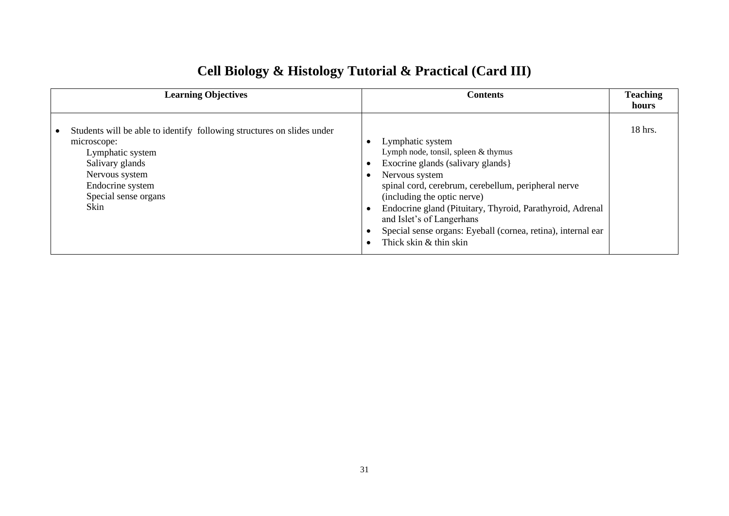| <b>Learning Objectives</b>                                                                                                                                                                         | <b>Contents</b>                                                                                                                                                                                                                                                                                                                                                                          | <b>Teaching</b><br>hours |
|----------------------------------------------------------------------------------------------------------------------------------------------------------------------------------------------------|------------------------------------------------------------------------------------------------------------------------------------------------------------------------------------------------------------------------------------------------------------------------------------------------------------------------------------------------------------------------------------------|--------------------------|
| Students will be able to identify following structures on slides under<br>microscope:<br>Lymphatic system<br>Salivary glands<br>Nervous system<br>Endocrine system<br>Special sense organs<br>Skin | Lymphatic system<br>Lymph node, tonsil, spleen & thymus<br>Exocrine glands (salivary glands)<br>Nervous system<br>spinal cord, cerebrum, cerebellum, peripheral nerve<br>(including the optic nerve)<br>Endocrine gland (Pituitary, Thyroid, Parathyroid, Adrenal<br>and Islet's of Langerhans<br>Special sense organs: Eyeball (cornea, retina), internal ear<br>Thick skin & thin skin | $18$ hrs.                |

# **Cell Biology & Histology Tutorial & Practical (Card III)**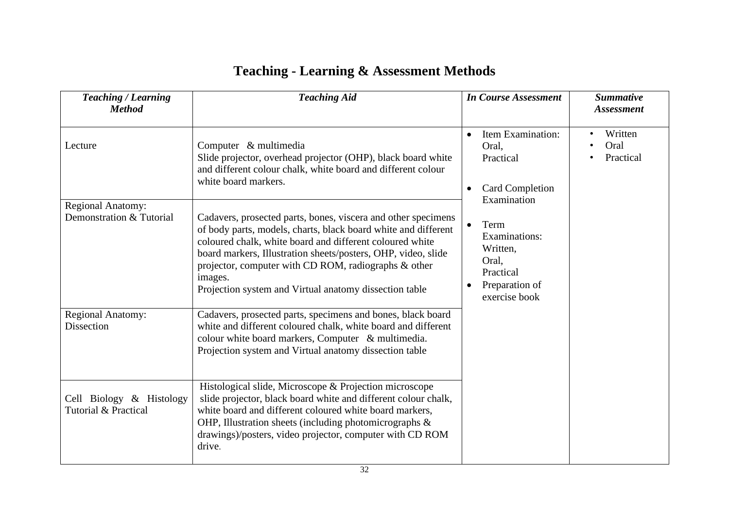|  |  |  | <b>Teaching - Learning &amp; Assessment Methods</b> |  |
|--|--|--|-----------------------------------------------------|--|
|--|--|--|-----------------------------------------------------|--|

| <b>Teaching / Learning</b><br><b>Method</b>          | <b>Teaching Aid</b>                                                                                                                                                                                                                                                                                                                                                                       | <b>In Course Assessment</b>                                                                                          | <b>Summative</b><br><b>Assessment</b> |
|------------------------------------------------------|-------------------------------------------------------------------------------------------------------------------------------------------------------------------------------------------------------------------------------------------------------------------------------------------------------------------------------------------------------------------------------------------|----------------------------------------------------------------------------------------------------------------------|---------------------------------------|
| Lecture                                              | Computer & multimedia<br>Slide projector, overhead projector (OHP), black board white<br>and different colour chalk, white board and different colour<br>white board markers.                                                                                                                                                                                                             | Item Examination:<br>$\bullet$<br>Oral,<br>Practical<br><b>Card Completion</b><br>$\bullet$<br>Examination           | Written<br>٠<br>Oral<br>Practical     |
| <b>Regional Anatomy:</b><br>Demonstration & Tutorial | Cadavers, prosected parts, bones, viscera and other specimens<br>of body parts, models, charts, black board white and different<br>coloured chalk, white board and different coloured white<br>board markers, Illustration sheets/posters, OHP, video, slide<br>projector, computer with CD ROM, radiographs & other<br>images.<br>Projection system and Virtual anatomy dissection table | Term<br>$\bullet$<br>Examinations:<br>Written,<br>Oral,<br>Practical<br>Preparation of<br>$\bullet$<br>exercise book |                                       |
| <b>Regional Anatomy:</b><br><b>Dissection</b>        | Cadavers, prosected parts, specimens and bones, black board<br>white and different coloured chalk, white board and different<br>colour white board markers, Computer & multimedia.<br>Projection system and Virtual anatomy dissection table                                                                                                                                              |                                                                                                                      |                                       |
| Cell Biology & Histology<br>Tutorial & Practical     | Histological slide, Microscope & Projection microscope<br>slide projector, black board white and different colour chalk,<br>white board and different coloured white board markers,<br>OHP, Illustration sheets (including photomicrographs &<br>drawings)/posters, video projector, computer with CD ROM<br>drive.                                                                       |                                                                                                                      |                                       |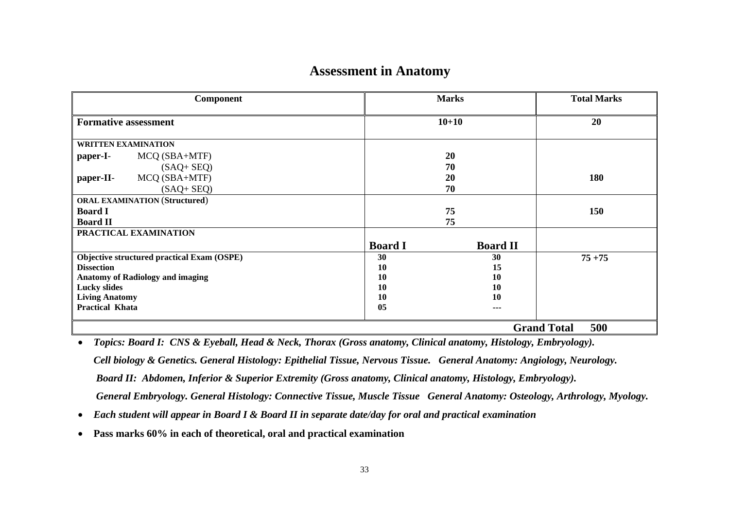# **Assessment in Anatomy**

| <b>Component</b>                           | <b>Marks</b>                      | <b>Total Marks</b>        |
|--------------------------------------------|-----------------------------------|---------------------------|
| <b>Formative assessment</b>                | $10 + 10$                         | 20                        |
| <b>WRITTEN EXAMINATION</b>                 |                                   |                           |
| MCQ (SBA+MTF)<br>paper-I-                  | 20                                |                           |
| $(SAQ + SEQ)$                              | 70                                |                           |
| MCQ (SBA+MTF)<br>paper-II-                 | 20                                | 180                       |
| $(SAQ + SEQ)$                              | 70                                |                           |
| <b>ORAL EXAMINATION (Structured)</b>       |                                   |                           |
| <b>Board I</b>                             | 75                                | 150                       |
| <b>Board II</b>                            | 75                                |                           |
| PRACTICAL EXAMINATION                      |                                   |                           |
|                                            | <b>Board I</b><br><b>Board II</b> |                           |
| Objective structured practical Exam (OSPE) | 30<br>30                          | $75 + 75$                 |
| <b>Dissection</b>                          | 10<br>15                          |                           |
| <b>Anatomy of Radiology and imaging</b>    | <b>10</b><br>10                   |                           |
| <b>Lucky slides</b>                        | 10<br>10                          |                           |
| <b>Living Anatomy</b>                      | 10<br>10                          |                           |
| <b>Practical Khata</b>                     | 05<br>---                         |                           |
|                                            |                                   | <b>Grand Total</b><br>500 |

• *Topics: Board I: CNS & Eyeball, Head & Neck, Thorax (Gross anatomy, Clinical anatomy, Histology, Embryology). Cell biology & Genetics. General Histology: Epithelial Tissue, Nervous Tissue. General Anatomy: Angiology, Neurology. Board II: Abdomen, Inferior & Superior Extremity (Gross anatomy, Clinical anatomy, Histology, Embryology). General Embryology. General Histology: Connective Tissue, Muscle Tissue General Anatomy: Osteology, Arthrology, Myology.*

- *Each student will appear in Board I & Board II in separate date/day for oral and practical examination*
- **Pass marks 60% in each of theoretical, oral and practical examination**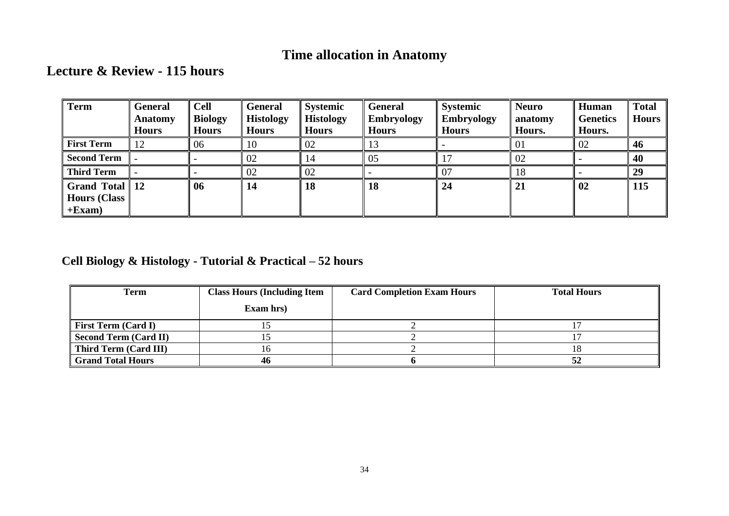# **Time allocation in Anatomy**

# **Lecture & Review - 115 hours**

| Term                                                   | General<br>Anatomy<br><b>Hours</b> | <b>Cell</b><br><b>Biology</b><br><b>Hours</b> | <b>General</b><br><b>Histology</b><br><b>Hours</b> | <b>Systemic</b><br><b>Histology</b><br><b>Hours</b> | <b>General</b><br><b>Embryology</b><br><b>Hours</b> | <b>Systemic</b><br><b>Embryology</b><br><b>Hours</b> | <b>Neuro</b><br>anatomy<br>Hours. | Human<br><b>Genetics</b><br>Hours. | <b>Total</b><br><b>Hours</b> |
|--------------------------------------------------------|------------------------------------|-----------------------------------------------|----------------------------------------------------|-----------------------------------------------------|-----------------------------------------------------|------------------------------------------------------|-----------------------------------|------------------------------------|------------------------------|
| <b>First Term</b>                                      | 12                                 | 06                                            | 10                                                 | 02                                                  | 13                                                  |                                                      | 01                                | 02                                 | 46                           |
| <b>Second Term</b>                                     |                                    |                                               | 02                                                 | 14                                                  | 05                                                  |                                                      | 02                                |                                    | 40                           |
| <b>Third Term</b>                                      |                                    |                                               | 02                                                 | 02                                                  |                                                     | 07                                                   | 18                                |                                    | 29                           |
| Grand Total $\parallel$ 12<br>Hours (Class<br>$+Exam)$ |                                    | 06                                            | 14                                                 | 18                                                  | 18                                                  | 24                                                   | 21                                | 02                                 | 115                          |

# **Cell Biology & Histology - Tutorial & Practical – 52 hours**

| Term                       | <b>Class Hours (Including Item</b> | <b>Card Completion Exam Hours</b> | <b>Total Hours</b> |  |
|----------------------------|------------------------------------|-----------------------------------|--------------------|--|
|                            | Exam hrs)                          |                                   |                    |  |
| <b>First Term (Card I)</b> |                                    |                                   |                    |  |
| Second Term (Card II)      |                                    |                                   |                    |  |
| Third Term (Card III)      |                                    |                                   |                    |  |
| <b>Grand Total Hours</b>   | 46                                 |                                   |                    |  |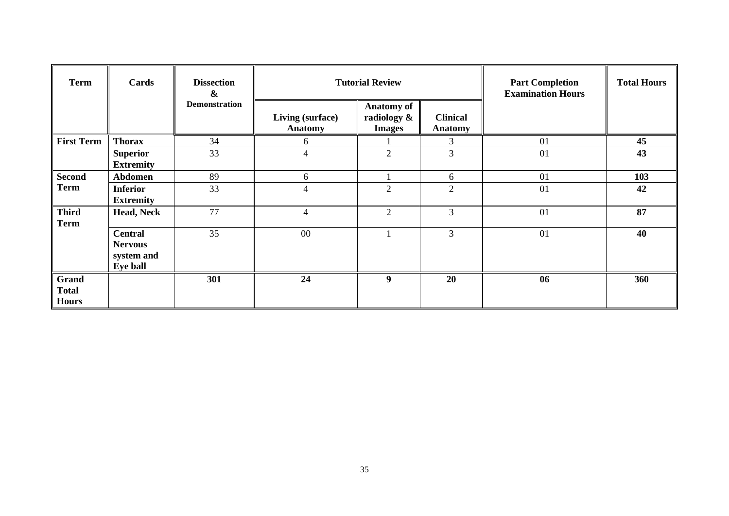| <b>Term</b>                           | Cards                                                      | <b>Dissection</b><br>$\boldsymbol{\&}$ | <b>Tutorial Review</b>             |                                                   |                                   | <b>Part Completion</b><br><b>Examination Hours</b> | <b>Total Hours</b> |
|---------------------------------------|------------------------------------------------------------|----------------------------------------|------------------------------------|---------------------------------------------------|-----------------------------------|----------------------------------------------------|--------------------|
|                                       |                                                            | <b>Demonstration</b>                   | Living (surface)<br><b>Anatomy</b> | <b>Anatomy of</b><br>radiology &<br><b>Images</b> | <b>Clinical</b><br><b>Anatomy</b> |                                                    |                    |
| <b>First Term</b>                     | <b>Thorax</b>                                              | 34                                     | 6                                  |                                                   | 3                                 | 01                                                 | 45                 |
|                                       | <b>Superior</b><br><b>Extremity</b>                        | 33                                     | $\overline{4}$                     | $\overline{2}$                                    | 3                                 | 01                                                 | 43                 |
| <b>Second</b>                         | Abdomen                                                    | 89                                     | 6                                  |                                                   | 6                                 | 01                                                 | 103                |
| <b>Term</b>                           | <b>Inferior</b><br><b>Extremity</b>                        | 33                                     | $\overline{4}$                     | $\overline{2}$                                    | $\overline{2}$                    | 01                                                 | 42                 |
| <b>Third</b><br><b>Term</b>           | <b>Head, Neck</b>                                          | 77                                     | $\overline{4}$                     | $\overline{2}$                                    | 3                                 | 01                                                 | 87                 |
|                                       | <b>Central</b><br><b>Nervous</b><br>system and<br>Eye ball | 35                                     | $00\,$                             |                                                   | $\overline{3}$                    | 01                                                 | 40                 |
| Grand<br><b>Total</b><br><b>Hours</b> |                                                            | 301                                    | 24                                 | 9                                                 | 20                                | 06                                                 | 360                |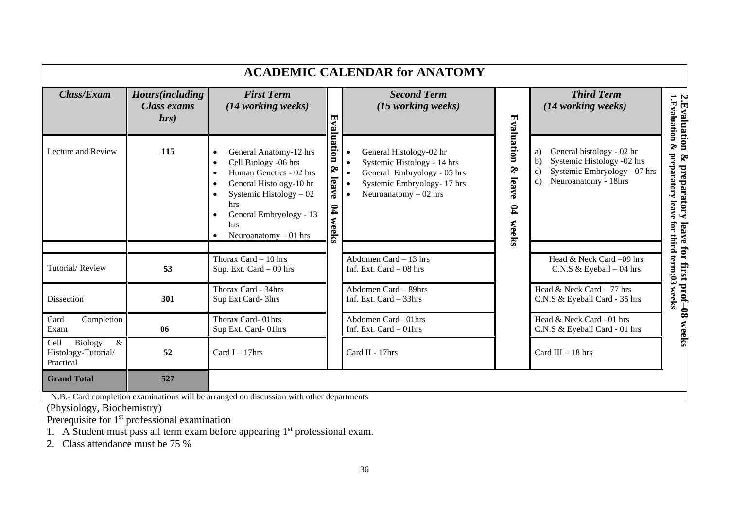|                                                             |                                                       |                                                                                                                                                                                                                  |                                                    | <b>ACADEMIC CALENDAR for ANATOMY</b>                                                                                                          |                                                |                                                                                                                                                                  |                                                                                                     |
|-------------------------------------------------------------|-------------------------------------------------------|------------------------------------------------------------------------------------------------------------------------------------------------------------------------------------------------------------------|----------------------------------------------------|-----------------------------------------------------------------------------------------------------------------------------------------------|------------------------------------------------|------------------------------------------------------------------------------------------------------------------------------------------------------------------|-----------------------------------------------------------------------------------------------------|
| Class/Exam                                                  | <b>Hours</b> (including<br><b>Class exams</b><br>hrs) | <b>First Term</b><br>(14 working weeks)                                                                                                                                                                          |                                                    | <b>Second Term</b><br>(15 working weeks)                                                                                                      |                                                | <b>Third Term</b><br>(14 working weeks)                                                                                                                          | 2.Evaluation &<br>1.Evaluation & pre                                                                |
| Lecture and Review                                          | 115                                                   | General Anatomy-12 hrs<br>$\bullet$<br>Cell Biology -06 hrs<br>Human Genetics - 02 hrs<br>General Histology-10 hr<br>Systemic Histology $-02$<br>hrs<br>General Embryology - 13<br>hrs<br>Neuroanatomy $-01$ hrs | Evaluation<br>S.<br>leave<br>$\mathbf{g}$<br>weeks | General Histology-02 hr<br>Systemic Histology - 14 hrs<br>General Embryology - 05 hrs<br>Systemic Embryology-17 hrs<br>Neuroanatomy $-02$ hrs | Evaluation &<br>leave<br>$\mathbf{p}$<br>weeks | General histology - 02 hr<br>a)<br>Systemic Histology -02 hrs<br>$\mathbf{b}$<br>Systemic Embryology - 07 hrs<br>$\mathbf{c}$<br>Neuroanatomy - 18hrs<br>$\rm d$ | <b>&amp; preparatory leave for first prof–08 weeks</b><br>preparatory leave for third term;03 weeks |
| Tutorial/Review                                             | 53                                                    | Thorax Card $-10$ hrs<br>Sup. Ext. Card $-09$ hrs                                                                                                                                                                |                                                    | Abdomen Card $-13$ hrs<br>Inf. Ext. Card $-08$ hrs                                                                                            |                                                | Head & Neck Card -09 hrs<br>C.N.S & Eyeball $-04$ hrs                                                                                                            |                                                                                                     |
| Dissection                                                  | 301                                                   | Thorax Card - 34hrs<br>Sup Ext Card-3hrs                                                                                                                                                                         |                                                    | Abdomen Card - 89hrs<br>Inf. Ext. Card - 33hrs                                                                                                |                                                | Head & Neck Card $-77$ hrs<br>C.N.S & Eyeball Card - 35 hrs                                                                                                      |                                                                                                     |
| Card<br>Completion<br>Exam                                  | 06                                                    | Thorax Card-01hrs<br>Sup Ext. Card-01hrs                                                                                                                                                                         |                                                    | Abdomen Card-01hrs<br>Inf. Ext. Card - 01hrs                                                                                                  |                                                | Head & Neck Card -01 hrs<br>C.N.S & Eyeball Card - 01 hrs                                                                                                        |                                                                                                     |
| Cell<br>Biology<br>$\&$<br>Histology-Tutorial/<br>Practical | 52                                                    | Card I $-17$ hrs                                                                                                                                                                                                 |                                                    | Card II - 17hrs                                                                                                                               |                                                | Card III $-18$ hrs                                                                                                                                               |                                                                                                     |
| <b>Grand Total</b>                                          | 527                                                   |                                                                                                                                                                                                                  |                                                    |                                                                                                                                               |                                                |                                                                                                                                                                  |                                                                                                     |

N.B.- Card completion examinations will be arranged on discussion with other departments

(Physiology, Biochemistry)

Prerequisite for 1<sup>st</sup> professional examination

1. A Student must pass all term exam before appearing  $1<sup>st</sup>$  professional exam.

2. Class attendance must be 75 %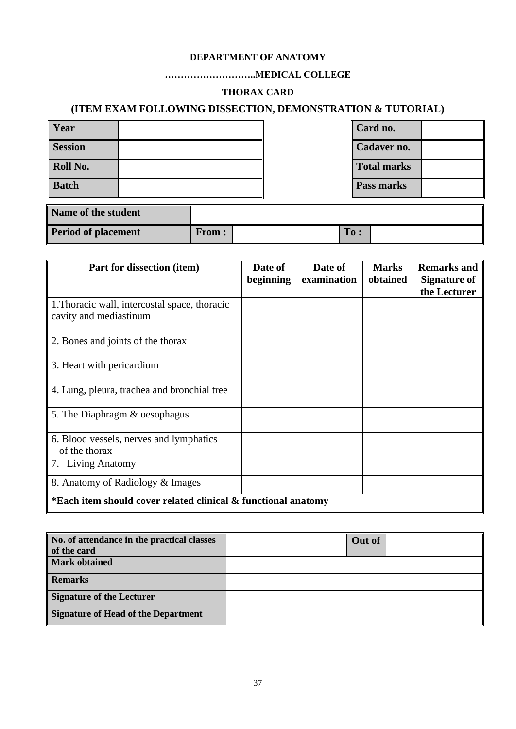### **DEPARTMENT OF ANATOMY**

### **………………………..MEDICAL COLLEGE**

### **THORAX CARD**

### **(ITEM EXAM FOLLOWING DISSECTION, DEMONSTRATION & TUTORIAL)**

| Year           |  | Card no.           |  |
|----------------|--|--------------------|--|
| <b>Session</b> |  | Cadaver no.        |  |
| Roll No.       |  | <b>Total marks</b> |  |
| <b>Batch</b>   |  | Pass marks         |  |

| Name of the student        |              |     |  |
|----------------------------|--------------|-----|--|
| <b>Period of placement</b> | <b>From:</b> | To: |  |

| Part for dissection (item)                                              | Date of<br>beginning | Date of<br>examination | <b>Marks</b><br>obtained | <b>Remarks and</b><br><b>Signature of</b><br>the Lecturer |
|-------------------------------------------------------------------------|----------------------|------------------------|--------------------------|-----------------------------------------------------------|
| 1. Thoracic wall, intercostal space, thoracic<br>cavity and mediastinum |                      |                        |                          |                                                           |
| 2. Bones and joints of the thorax                                       |                      |                        |                          |                                                           |
| 3. Heart with pericardium                                               |                      |                        |                          |                                                           |
| 4. Lung, pleura, trachea and bronchial tree                             |                      |                        |                          |                                                           |
| 5. The Diaphragm & oesophagus                                           |                      |                        |                          |                                                           |
| 6. Blood vessels, nerves and lymphatics<br>of the thorax                |                      |                        |                          |                                                           |
| 7. Living Anatomy                                                       |                      |                        |                          |                                                           |
| 8. Anatomy of Radiology & Images                                        |                      |                        |                          |                                                           |
| *Each item should cover related clinical & functional anatomy           |                      |                        |                          |                                                           |

| No. of attendance in the practical classes | Out of |  |
|--------------------------------------------|--------|--|
| of the card                                |        |  |
| <b>Mark obtained</b>                       |        |  |
| <b>Remarks</b>                             |        |  |
| <b>Signature of the Lecturer</b>           |        |  |
| <b>Signature of Head of the Department</b> |        |  |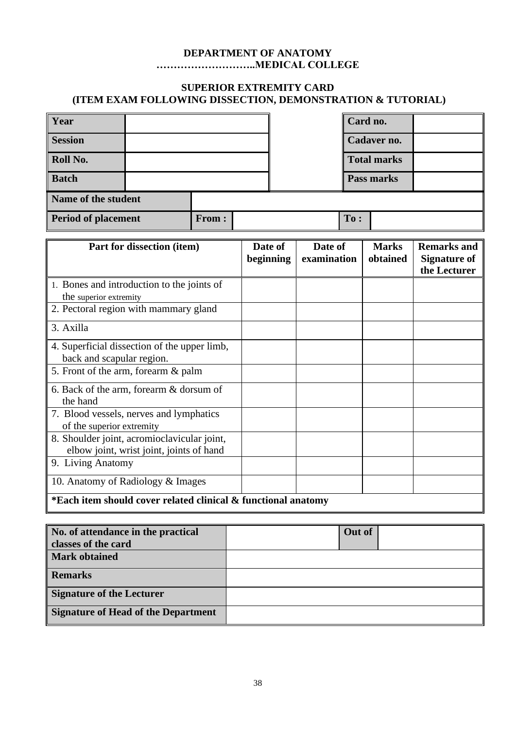### **DEPARTMENT OF ANATOMY ………………………..MEDICAL COLLEGE**

### **SUPERIOR EXTREMITY CARD (ITEM EXAM FOLLOWING DISSECTION, DEMONSTRATION & TUTORIAL)**

| Year                                |  |     | Card no. |                    |            |  |
|-------------------------------------|--|-----|----------|--------------------|------------|--|
| <b>Session</b>                      |  |     |          | Cadaver no.        |            |  |
| Roll No.                            |  |     |          | <b>Total marks</b> |            |  |
| <b>Batch</b>                        |  |     |          |                    | Pass marks |  |
| Name of the student                 |  |     |          |                    |            |  |
| <b>Period of placement</b><br>From: |  | To: |          |                    |            |  |

| Part for dissection (item)                                    | Date of<br>beginning | Date of<br>examination | <b>Marks</b><br>obtained | <b>Remarks and</b><br><b>Signature of</b> |
|---------------------------------------------------------------|----------------------|------------------------|--------------------------|-------------------------------------------|
|                                                               |                      |                        |                          | the Lecturer                              |
| 1. Bones and introduction to the joints of                    |                      |                        |                          |                                           |
| the superior extremity                                        |                      |                        |                          |                                           |
| 2. Pectoral region with mammary gland                         |                      |                        |                          |                                           |
| 3. Axilla                                                     |                      |                        |                          |                                           |
| 4. Superficial dissection of the upper limb,                  |                      |                        |                          |                                           |
| back and scapular region.                                     |                      |                        |                          |                                           |
| 5. Front of the arm, forearm & palm                           |                      |                        |                          |                                           |
| 6. Back of the arm, forearm & dorsum of                       |                      |                        |                          |                                           |
| the hand                                                      |                      |                        |                          |                                           |
| 7. Blood vessels, nerves and lymphatics                       |                      |                        |                          |                                           |
| of the superior extremity                                     |                      |                        |                          |                                           |
| 8. Shoulder joint, acromioclavicular joint,                   |                      |                        |                          |                                           |
| elbow joint, wrist joint, joints of hand                      |                      |                        |                          |                                           |
| 9. Living Anatomy                                             |                      |                        |                          |                                           |
| 10. Anatomy of Radiology & Images                             |                      |                        |                          |                                           |
| *Each item should cover related clinical & functional anatomy |                      |                        |                          |                                           |

| No. of attendance in the practical         | Out of |
|--------------------------------------------|--------|
| classes of the card                        |        |
| <b>Mark obtained</b>                       |        |
| <b>Remarks</b>                             |        |
| <b>Signature of the Lecturer</b>           |        |
| <b>Signature of Head of the Department</b> |        |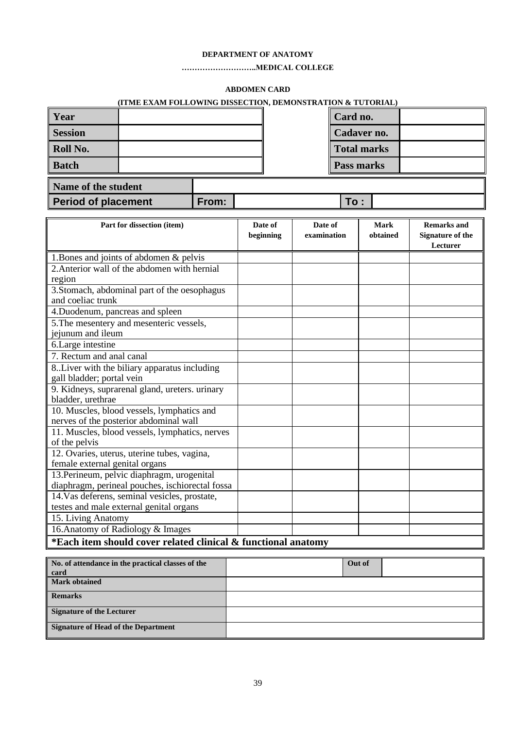#### **DEPARTMENT OF ANATOMY**

#### **………………………..MEDICAL COLLEGE**

#### **ABDOMEN CARD**

| (ITME EXAM FOLLOWING DISSECTION, DEMONSTRATION & TUTORIAL) |  |  |  |  |
|------------------------------------------------------------|--|--|--|--|
|------------------------------------------------------------|--|--|--|--|

| <b>Year</b>    |  |  | Card no.           |  |
|----------------|--|--|--------------------|--|
| <b>Session</b> |  |  | <b>Cadaver no.</b> |  |
| Roll No.       |  |  | Total marks        |  |
| Batch          |  |  | Pass marks         |  |
| .<br>___       |  |  |                    |  |

| Name of the student |       |      |  |
|---------------------|-------|------|--|
| Period of placement | From: | To : |  |

| Part for dissection (item)                                    | Date of   | Date of     | <b>Mark</b> | <b>Remarks and</b>      |
|---------------------------------------------------------------|-----------|-------------|-------------|-------------------------|
|                                                               | beginning | examination | obtained    | <b>Signature of the</b> |
|                                                               |           |             |             | Lecturer                |
| 1. Bones and joints of abdomen & pelvis                       |           |             |             |                         |
| 2. Anterior wall of the abdomen with hernial                  |           |             |             |                         |
| region                                                        |           |             |             |                         |
| 3. Stomach, abdominal part of the oesophagus                  |           |             |             |                         |
| and coeliac trunk                                             |           |             |             |                         |
| 4. Duodenum, pancreas and spleen                              |           |             |             |                         |
| 5. The mesentery and mesenteric vessels,                      |           |             |             |                         |
| jejunum and ileum                                             |           |             |             |                         |
| 6.Large intestine                                             |           |             |             |                         |
| 7. Rectum and anal canal                                      |           |             |             |                         |
| 8. Liver with the biliary apparatus including                 |           |             |             |                         |
| gall bladder; portal vein                                     |           |             |             |                         |
| 9. Kidneys, suprarenal gland, ureters. urinary                |           |             |             |                         |
| bladder, urethrae                                             |           |             |             |                         |
| 10. Muscles, blood vessels, lymphatics and                    |           |             |             |                         |
| nerves of the posterior abdominal wall                        |           |             |             |                         |
| 11. Muscles, blood vessels, lymphatics, nerves                |           |             |             |                         |
| of the pelvis                                                 |           |             |             |                         |
| 12. Ovaries, uterus, uterine tubes, vagina,                   |           |             |             |                         |
| female external genital organs                                |           |             |             |                         |
| 13. Perineum, pelvic diaphragm, urogenital                    |           |             |             |                         |
| diaphragm, perineal pouches, ischiorectal fossa               |           |             |             |                         |
| 14. Vas deferens, seminal vesicles, prostate,                 |           |             |             |                         |
| testes and male external genital organs                       |           |             |             |                         |
| 15. Living Anatomy                                            |           |             |             |                         |
| 16. Anatomy of Radiology & Images                             |           |             |             |                         |
| *Each item should cover related clinical & functional anatomy |           |             |             |                         |

| No. of attendance in the practical classes of the<br>card | Out of |  |
|-----------------------------------------------------------|--------|--|
| <b>Mark obtained</b>                                      |        |  |
| <b>Remarks</b>                                            |        |  |
| <b>Signature of the Lecturer</b>                          |        |  |
| Signature of Head of the Department                       |        |  |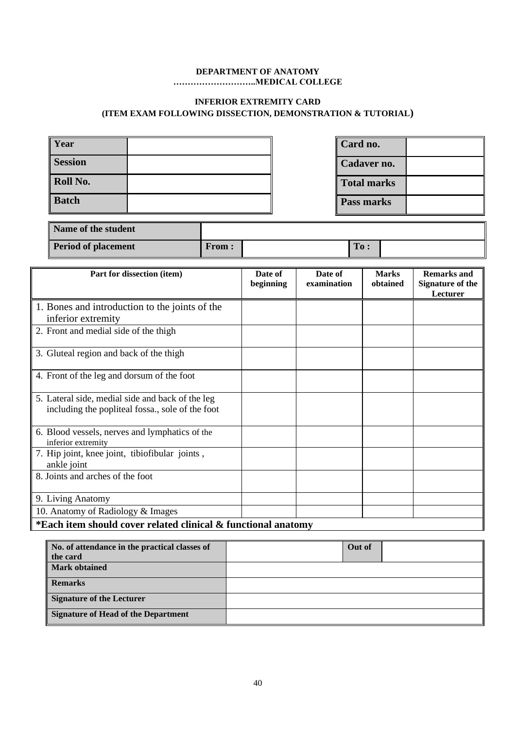#### **DEPARTMENT OF ANATOMY ………………………..MEDICAL COLLEGE**

### **INFERIOR EXTREMITY CARD (ITEM EXAM FOLLOWING DISSECTION, DEMONSTRATION & TUTORIAL)**

| <b>Year</b>    | Card no.           |
|----------------|--------------------|
| <b>Session</b> | Cadaver no.        |
| Roll No.       | <b>Total marks</b> |
| <b>Batch</b>   | Pass marks         |

| Name of the student        |              |     |  |
|----------------------------|--------------|-----|--|
| <b>Period of placement</b> | <b>From:</b> | To: |  |

| Part for dissection (item)                                                                           | Date of<br>beginning | Date of<br>examination | <b>Marks</b><br>obtained | <b>Remarks and</b><br><b>Signature of the</b><br>Lecturer |
|------------------------------------------------------------------------------------------------------|----------------------|------------------------|--------------------------|-----------------------------------------------------------|
| 1. Bones and introduction to the joints of the<br>inferior extremity                                 |                      |                        |                          |                                                           |
| 2. Front and medial side of the thigh                                                                |                      |                        |                          |                                                           |
| 3. Gluteal region and back of the thigh                                                              |                      |                        |                          |                                                           |
| 4. Front of the leg and dorsum of the foot                                                           |                      |                        |                          |                                                           |
| 5. Lateral side, medial side and back of the leg<br>including the popliteal fossa., sole of the foot |                      |                        |                          |                                                           |
| 6. Blood vessels, nerves and lymphatics of the<br>inferior extremity                                 |                      |                        |                          |                                                           |
| 7. Hip joint, knee joint, tibiofibular joints,<br>ankle joint                                        |                      |                        |                          |                                                           |
| 8. Joints and arches of the foot                                                                     |                      |                        |                          |                                                           |
| 9. Living Anatomy                                                                                    |                      |                        |                          |                                                           |
| 10. Anatomy of Radiology & Images                                                                    |                      |                        |                          |                                                           |
| *Each item should cover related clinical & functional anatomy                                        |                      |                        |                          |                                                           |

| No. of attendance in the practical classes of<br>the card | Out of |
|-----------------------------------------------------------|--------|
| <b>Mark obtained</b>                                      |        |
| <b>Remarks</b>                                            |        |
| Signature of the Lecturer                                 |        |
| Signature of Head of the Department                       |        |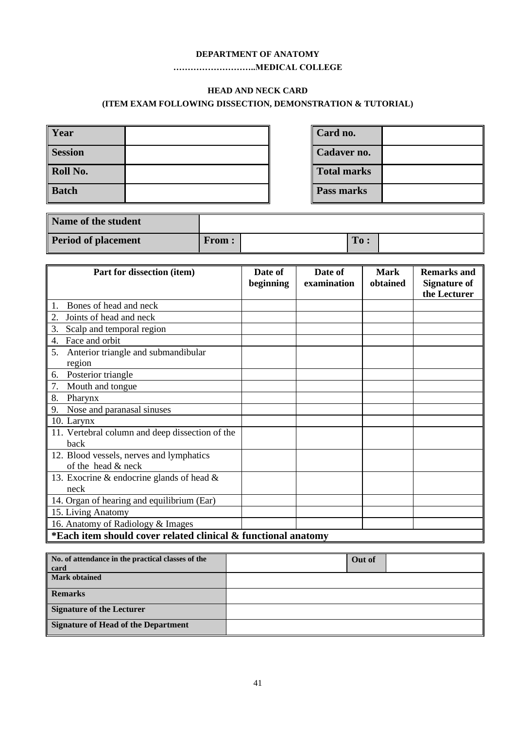#### **DEPARTMENT OF ANATOMY**

#### **………………………..MEDICAL COLLEGE**

### **HEAD AND NECK CARD**

### **(ITEM EXAM FOLLOWING DISSECTION, DEMONSTRATION & TUTORIAL)**

| Year           |  | Card no.           |  |
|----------------|--|--------------------|--|
| <b>Session</b> |  | Cadaver no.        |  |
| Roll No.       |  | <b>Total marks</b> |  |
| <b>Batch</b>   |  | Pass marks         |  |

| Name of the student        |              |     |  |
|----------------------------|--------------|-----|--|
| <b>Period of placement</b> | <b>From:</b> | To: |  |

| Part for dissection (item)                      | Date of<br>beginning                                          | Date of<br>examination | <b>Mark</b><br>obtained | <b>Remarks and</b><br><b>Signature of</b> |  |
|-------------------------------------------------|---------------------------------------------------------------|------------------------|-------------------------|-------------------------------------------|--|
|                                                 |                                                               |                        |                         | the Lecturer                              |  |
| Bones of head and neck<br>1.                    |                                                               |                        |                         |                                           |  |
| Joints of head and neck<br>2.                   |                                                               |                        |                         |                                           |  |
| 3.<br>Scalp and temporal region                 |                                                               |                        |                         |                                           |  |
| Face and orbit<br>4.                            |                                                               |                        |                         |                                           |  |
| 5.<br>Anterior triangle and submandibular       |                                                               |                        |                         |                                           |  |
| region                                          |                                                               |                        |                         |                                           |  |
| Posterior triangle<br>6.                        |                                                               |                        |                         |                                           |  |
| 7.<br>Mouth and tongue                          |                                                               |                        |                         |                                           |  |
| 8.<br>Pharynx                                   |                                                               |                        |                         |                                           |  |
| Nose and paranasal sinuses<br>9.                |                                                               |                        |                         |                                           |  |
| 10. Larynx                                      |                                                               |                        |                         |                                           |  |
| 11. Vertebral column and deep dissection of the |                                                               |                        |                         |                                           |  |
| back                                            |                                                               |                        |                         |                                           |  |
| 12. Blood vessels, nerves and lymphatics        |                                                               |                        |                         |                                           |  |
| of the head & neck                              |                                                               |                        |                         |                                           |  |
| 13. Exocrine & endocrine glands of head $\&$    |                                                               |                        |                         |                                           |  |
| neck                                            |                                                               |                        |                         |                                           |  |
| 14. Organ of hearing and equilibrium (Ear)      |                                                               |                        |                         |                                           |  |
| 15. Living Anatomy                              |                                                               |                        |                         |                                           |  |
| 16. Anatomy of Radiology & Images               |                                                               |                        |                         |                                           |  |
|                                                 | *Each item should cover related clinical & functional anatomy |                        |                         |                                           |  |

| No. of attendance in the practical classes of the<br>card | Out of |  |
|-----------------------------------------------------------|--------|--|
| <b>Mark obtained</b>                                      |        |  |
| <b>Remarks</b>                                            |        |  |
| <b>Signature of the Lecturer</b>                          |        |  |
| <b>Signature of Head of the Department</b>                |        |  |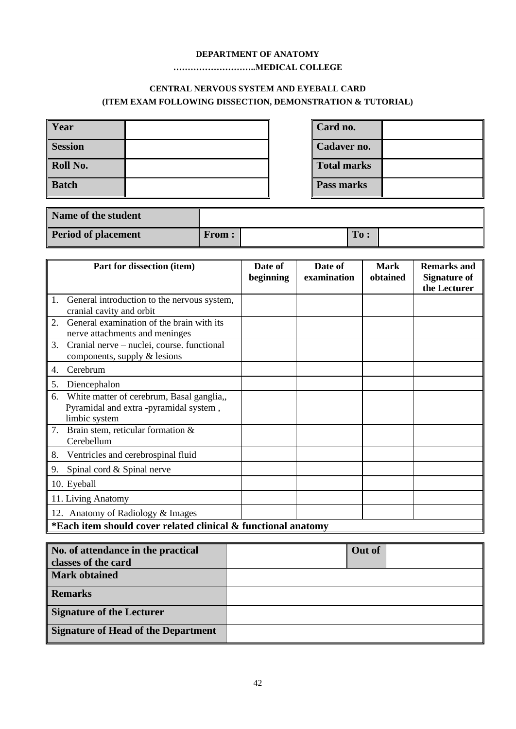#### **DEPARTMENT OF ANATOMY**

### **………………………..MEDICAL COLLEGE**

### **CENTRAL NERVOUS SYSTEM AND EYEBALL CARD (ITEM EXAM FOLLOWING DISSECTION, DEMONSTRATION & TUTORIAL)**

| <b>Year</b>    | Card no.           |  |
|----------------|--------------------|--|
| <b>Session</b> | Cadaver no.        |  |
| Roll No.       | <b>Total marks</b> |  |
| Batch          | Pass marks         |  |

| Name of the student        |              |     |  |
|----------------------------|--------------|-----|--|
| <b>Period of placement</b> | <b>From:</b> | To: |  |

| Part for dissection (item)                                                                                 | Date of<br>beginning | Date of<br>examination | <b>Mark</b><br>obtained | <b>Remarks and</b><br><b>Signature of</b><br>the Lecturer |
|------------------------------------------------------------------------------------------------------------|----------------------|------------------------|-------------------------|-----------------------------------------------------------|
| General introduction to the nervous system,<br>1.<br>cranial cavity and orbit                              |                      |                        |                         |                                                           |
| General examination of the brain with its<br>2.<br>nerve attachments and meninges                          |                      |                        |                         |                                                           |
| Cranial nerve – nuclei, course. functional<br>3.<br>components, supply $\&$ lesions                        |                      |                        |                         |                                                           |
| Cerebrum<br>4.                                                                                             |                      |                        |                         |                                                           |
| Diencephalon<br>5.                                                                                         |                      |                        |                         |                                                           |
| White matter of cerebrum, Basal ganglia,,<br>6.<br>Pyramidal and extra -pyramidal system,<br>limbic system |                      |                        |                         |                                                           |
| Brain stem, reticular formation &<br>7.<br>Cerebellum                                                      |                      |                        |                         |                                                           |
| 8.<br>Ventricles and cerebrospinal fluid                                                                   |                      |                        |                         |                                                           |
| 9.<br>Spinal cord & Spinal nerve                                                                           |                      |                        |                         |                                                           |
| 10. Eyeball                                                                                                |                      |                        |                         |                                                           |
| 11. Living Anatomy                                                                                         |                      |                        |                         |                                                           |
| Anatomy of Radiology & Images<br>12.                                                                       |                      |                        |                         |                                                           |
| *Each item should cover related clinical & functional anatomy                                              |                      |                        |                         |                                                           |

| No. of attendance in the practical         | Out of |  |
|--------------------------------------------|--------|--|
| classes of the card                        |        |  |
| <b>Mark obtained</b>                       |        |  |
| <b>Remarks</b>                             |        |  |
| <b>Signature of the Lecturer</b>           |        |  |
| <b>Signature of Head of the Department</b> |        |  |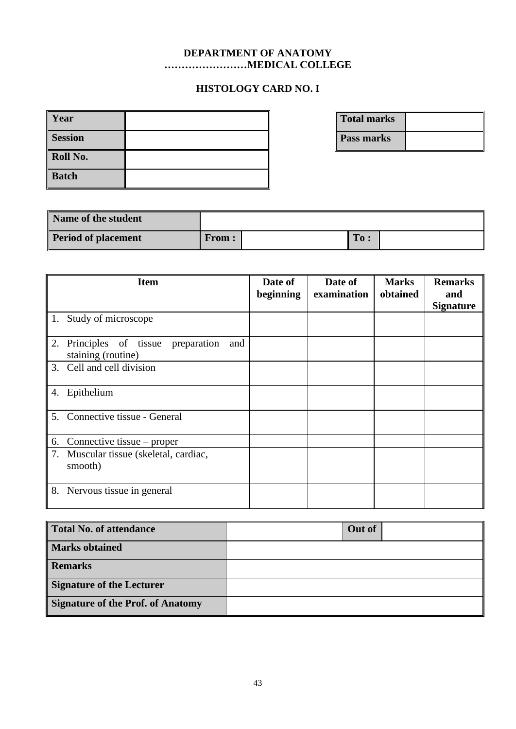### **DEPARTMENT OF ANATOMY ……………………MEDICAL COLLEGE**

# **HISTOLOGY CARD NO. I**

| Year           |  |
|----------------|--|
| <b>Session</b> |  |
| Roll No.       |  |
| <b>Batch</b>   |  |

**Total marks Pass marks**

| Name of the student        |              |     |  |
|----------------------------|--------------|-----|--|
| <b>Period of placement</b> | <b>From:</b> | To: |  |

| <b>Item</b>                                                            | Date of<br>beginning | Date of<br>examination | <b>Marks</b><br>obtained | <b>Remarks</b><br>and<br><b>Signature</b> |
|------------------------------------------------------------------------|----------------------|------------------------|--------------------------|-------------------------------------------|
| Study of microscope<br>$\pm 1.$                                        |                      |                        |                          |                                           |
| 2.<br>Principles of tissue<br>preparation<br>and<br>staining (routine) |                      |                        |                          |                                           |
| 3.<br>Cell and cell division                                           |                      |                        |                          |                                           |
| Epithelium<br>4.                                                       |                      |                        |                          |                                           |
| 5. Connective tissue - General                                         |                      |                        |                          |                                           |
| 6.<br>Connective tissue – proper                                       |                      |                        |                          |                                           |
| 7.<br>Muscular tissue (skeletal, cardiac,<br>smooth)                   |                      |                        |                          |                                           |
| 8.<br>Nervous tissue in general                                        |                      |                        |                          |                                           |

| Total No. of attendance           | Out of |
|-----------------------------------|--------|
| <b>Marks obtained</b>             |        |
| <b>Remarks</b>                    |        |
| Signature of the Lecturer         |        |
| Signature of the Prof. of Anatomy |        |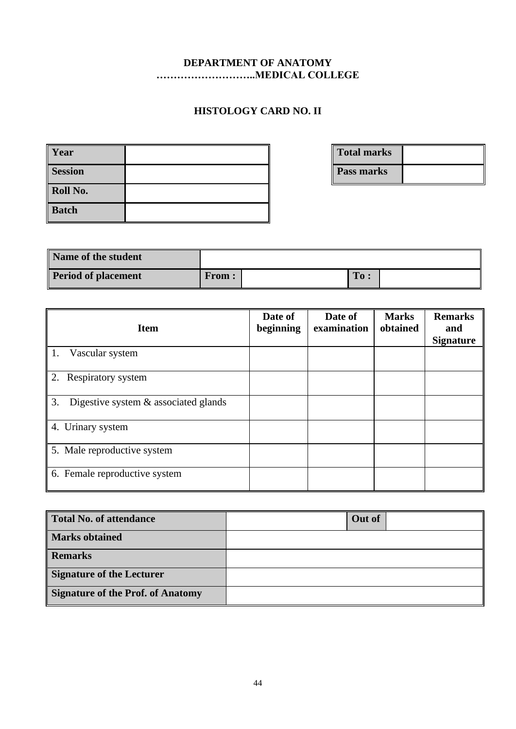### **DEPARTMENT OF ANATOMY ………………………..MEDICAL COLLEGE**

# **HISTOLOGY CARD NO. II**

| Year           |  |
|----------------|--|
| <b>Session</b> |  |
| Roll No.       |  |
| Batch          |  |

**Total marks Pass marks**

| Name of the student        |              |     |  |
|----------------------------|--------------|-----|--|
| <b>Period of placement</b> | <b>From:</b> | To: |  |

| <b>Item</b>                                   | Date of<br>beginning | Date of<br>examination | <b>Marks</b><br>obtained | <b>Remarks</b><br>and<br><b>Signature</b> |
|-----------------------------------------------|----------------------|------------------------|--------------------------|-------------------------------------------|
| Vascular system<br>4.1.                       |                      |                        |                          |                                           |
| 2.<br>Respiratory system                      |                      |                        |                          |                                           |
| 3.<br>Digestive system $\&$ associated glands |                      |                        |                          |                                           |
| Urinary system<br>4.                          |                      |                        |                          |                                           |
| 5. Male reproductive system                   |                      |                        |                          |                                           |
| 6. Female reproductive system                 |                      |                        |                          |                                           |

| <b>Total No. of attendance</b>           | Out of |
|------------------------------------------|--------|
| <b>Marks obtained</b>                    |        |
| <b>Remarks</b>                           |        |
| <b>Signature of the Lecturer</b>         |        |
| <b>Signature of the Prof. of Anatomy</b> |        |